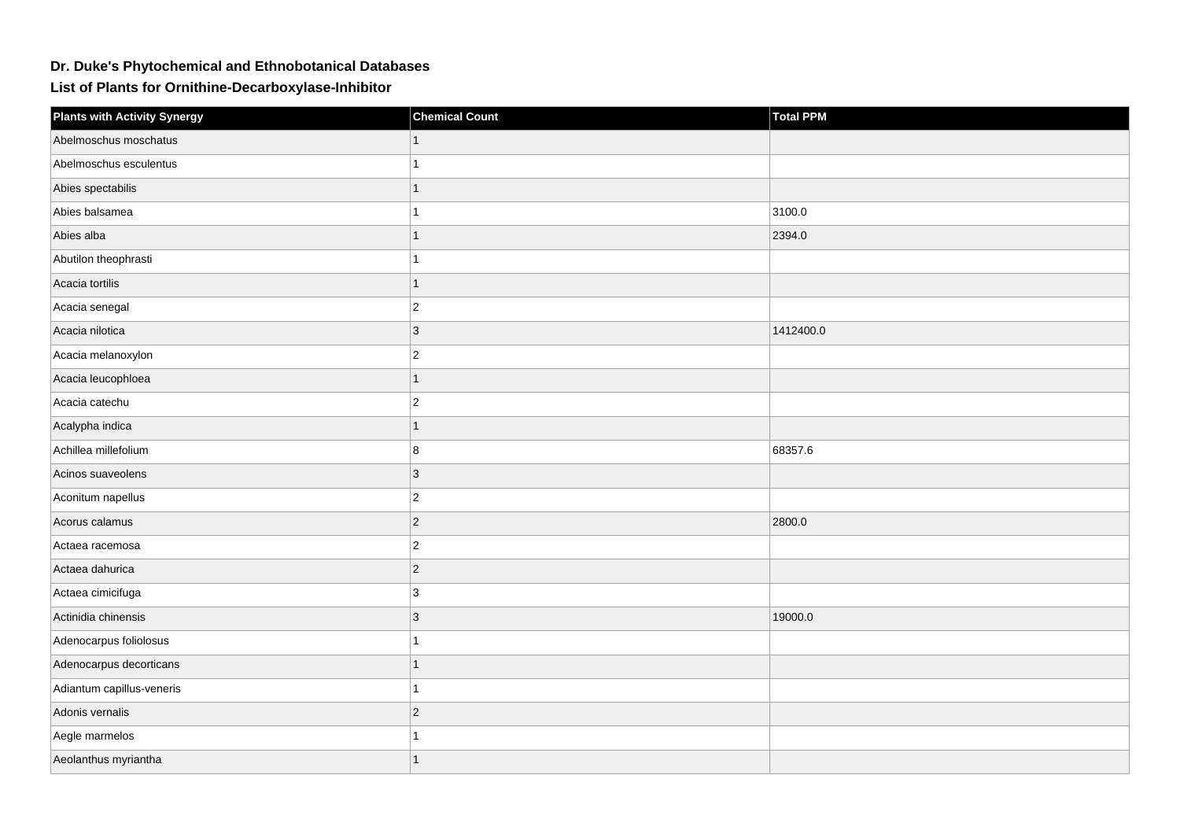## **Dr. Duke's Phytochemical and Ethnobotanical Databases**

**List of Plants for Ornithine-Decarboxylase-Inhibitor**

| <b>Plants with Activity Synergy</b> | <b>Chemical Count</b> | <b>Total PPM</b> |
|-------------------------------------|-----------------------|------------------|
| Abelmoschus moschatus               |                       |                  |
| Abelmoschus esculentus              |                       |                  |
| Abies spectabilis                   |                       |                  |
| Abies balsamea                      |                       | 3100.0           |
| Abies alba                          | 1                     | 2394.0           |
| Abutilon theophrasti                |                       |                  |
| Acacia tortilis                     |                       |                  |
| Acacia senegal                      | $\overline{c}$        |                  |
| Acacia nilotica                     | 3                     | 1412400.0        |
| Acacia melanoxylon                  | $\overline{2}$        |                  |
| Acacia leucophloea                  | 1                     |                  |
| Acacia catechu                      | $\overline{2}$        |                  |
| Acalypha indica                     |                       |                  |
| Achillea millefolium                | 8                     | 68357.6          |
| Acinos suaveolens                   | 3                     |                  |
| Aconitum napellus                   | $\overline{2}$        |                  |
| Acorus calamus                      | $\overline{2}$        | 2800.0           |
| Actaea racemosa                     | $\overline{2}$        |                  |
| Actaea dahurica                     | $\overline{2}$        |                  |
| Actaea cimicifuga                   | 3                     |                  |
| Actinidia chinensis                 | 3                     | 19000.0          |
| Adenocarpus foliolosus              |                       |                  |
| Adenocarpus decorticans             | 1                     |                  |
| Adiantum capillus-veneris           |                       |                  |
| Adonis vernalis                     | $\overline{2}$        |                  |
| Aegle marmelos                      |                       |                  |
| Aeolanthus myriantha                | 1                     |                  |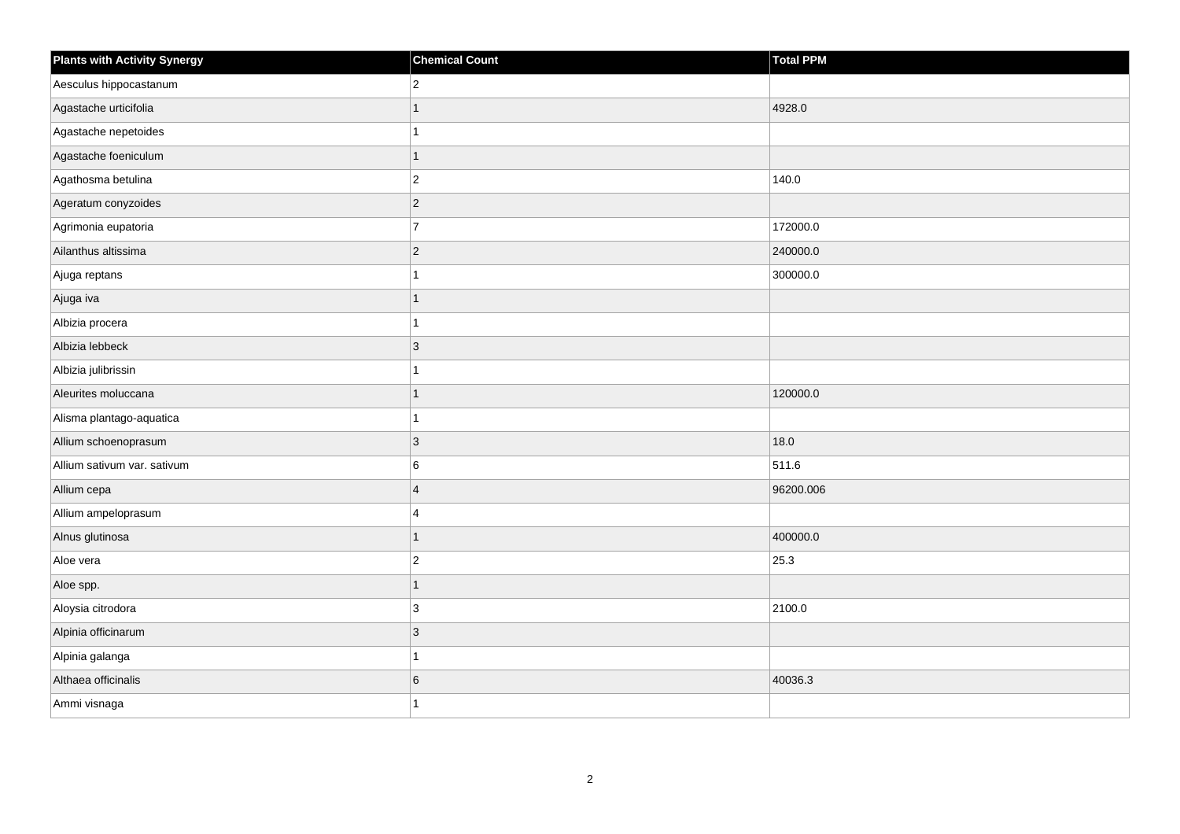| <b>Plants with Activity Synergy</b> | <b>Chemical Count</b> | <b>Total PPM</b> |
|-------------------------------------|-----------------------|------------------|
| Aesculus hippocastanum              | $\overline{2}$        |                  |
| Agastache urticifolia               |                       | 4928.0           |
| Agastache nepetoides                |                       |                  |
| Agastache foeniculum                | 1                     |                  |
| Agathosma betulina                  | $\overline{c}$        | 140.0            |
| Ageratum conyzoides                 | $\overline{2}$        |                  |
| Agrimonia eupatoria                 | $\overline{7}$        | 172000.0         |
| Ailanthus altissima                 | $\overline{2}$        | 240000.0         |
| Ajuga reptans                       |                       | 300000.0         |
| Ajuga iva                           | 1                     |                  |
| Albizia procera                     |                       |                  |
| Albizia lebbeck                     | 3                     |                  |
| Albizia julibrissin                 |                       |                  |
| Aleurites moluccana                 |                       | 120000.0         |
| Alisma plantago-aquatica            |                       |                  |
| Allium schoenoprasum                | 3                     | 18.0             |
| Allium sativum var. sativum         | 6                     | 511.6            |
| Allium cepa                         | $\Delta$              | 96200.006        |
| Allium ampeloprasum                 | 4                     |                  |
| Alnus glutinosa                     |                       | 400000.0         |
| Aloe vera                           | $\overline{2}$        | 25.3             |
| Aloe spp.                           | 1                     |                  |
| Aloysia citrodora                   | 3                     | 2100.0           |
| Alpinia officinarum                 | 3                     |                  |
| Alpinia galanga                     |                       |                  |
| Althaea officinalis                 | 6                     | 40036.3          |
| Ammi visnaga                        |                       |                  |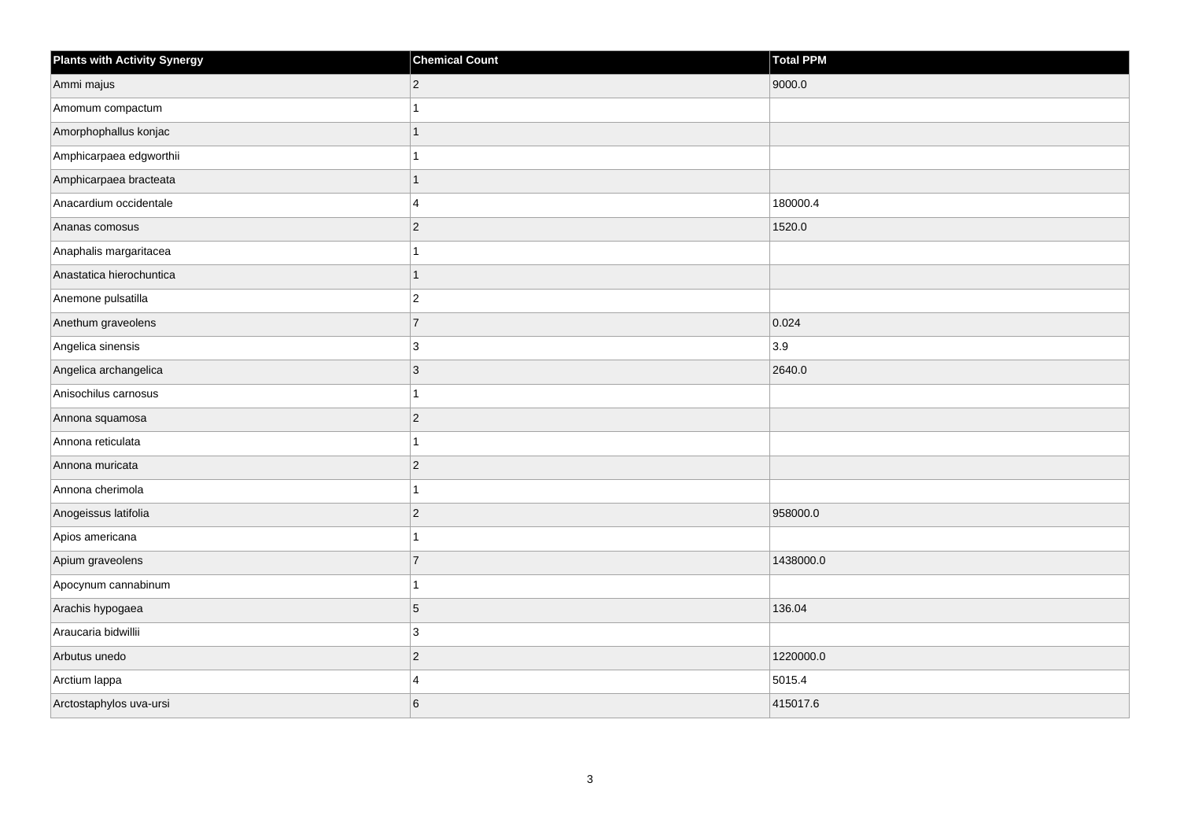| <b>Plants with Activity Synergy</b> | <b>Chemical Count</b> | <b>Total PPM</b> |
|-------------------------------------|-----------------------|------------------|
| Ammi majus                          | $\overline{2}$        | 9000.0           |
| Amomum compactum                    |                       |                  |
| Amorphophallus konjac               |                       |                  |
| Amphicarpaea edgworthii             |                       |                  |
| Amphicarpaea bracteata              | 1                     |                  |
| Anacardium occidentale              | 4                     | 180000.4         |
| Ananas comosus                      | $\overline{2}$        | 1520.0           |
| Anaphalis margaritacea              |                       |                  |
| Anastatica hierochuntica            | 1                     |                  |
| Anemone pulsatilla                  | $\overline{a}$        |                  |
| Anethum graveolens                  | $\overline{7}$        | 0.024            |
| Angelica sinensis                   | 3                     | 3.9              |
| Angelica archangelica               | 3                     | 2640.0           |
| Anisochilus carnosus                |                       |                  |
| Annona squamosa                     | $\overline{2}$        |                  |
| Annona reticulata                   | 1                     |                  |
| Annona muricata                     | $\overline{2}$        |                  |
| Annona cherimola                    |                       |                  |
| Anogeissus latifolia                | $\overline{2}$        | 958000.0         |
| Apios americana                     |                       |                  |
| Apium graveolens                    | $\overline{7}$        | 1438000.0        |
| Apocynum cannabinum                 | 1                     |                  |
| Arachis hypogaea                    | 5                     | 136.04           |
| Araucaria bidwillii                 | 3                     |                  |
| Arbutus unedo                       | $\overline{2}$        | 1220000.0        |
| Arctium lappa                       | $\overline{4}$        | 5015.4           |
| Arctostaphylos uva-ursi             | 6                     | 415017.6         |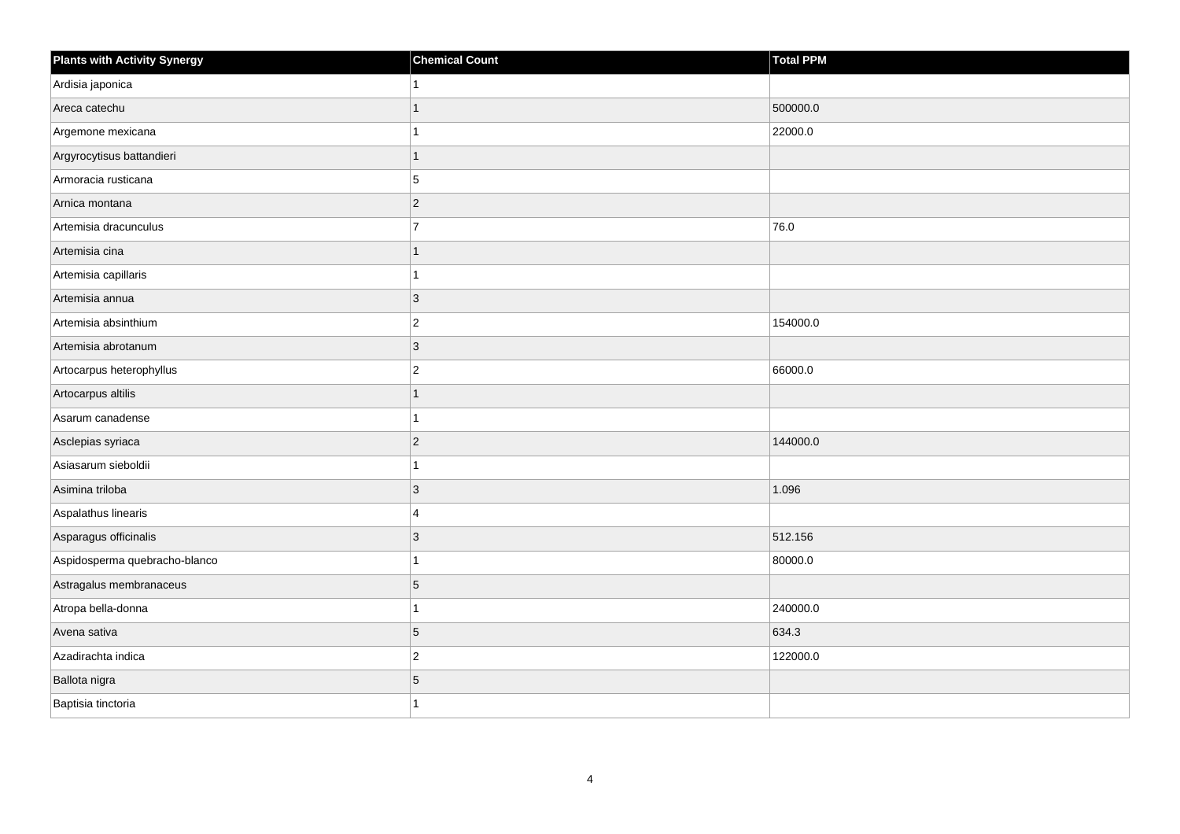| <b>Plants with Activity Synergy</b> | <b>Chemical Count</b> | Total PPM |
|-------------------------------------|-----------------------|-----------|
| Ardisia japonica                    |                       |           |
| Areca catechu                       |                       | 500000.0  |
| Argemone mexicana                   |                       | 22000.0   |
| Argyrocytisus battandieri           | 1                     |           |
| Armoracia rusticana                 | 5                     |           |
| Arnica montana                      | $\overline{2}$        |           |
| Artemisia dracunculus               | $\overline{7}$        | 76.0      |
| Artemisia cina                      | 1                     |           |
| Artemisia capillaris                |                       |           |
| Artemisia annua                     | $\overline{3}$        |           |
| Artemisia absinthium                | $\overline{c}$        | 154000.0  |
| Artemisia abrotanum                 | 3                     |           |
| Artocarpus heterophyllus            | $\overline{2}$        | 66000.0   |
| Artocarpus altilis                  | 1                     |           |
| Asarum canadense                    |                       |           |
| Asclepias syriaca                   | $\overline{2}$        | 144000.0  |
| Asiasarum sieboldii                 |                       |           |
| Asimina triloba                     | 3                     | 1.096     |
| Aspalathus linearis                 | 4                     |           |
| Asparagus officinalis               | 3                     | 512.156   |
| Aspidosperma quebracho-blanco       |                       | 80000.0   |
| Astragalus membranaceus             | 5                     |           |
| Atropa bella-donna                  |                       | 240000.0  |
| Avena sativa                        | 5                     | 634.3     |
| Azadirachta indica                  | $\overline{c}$        | 122000.0  |
| Ballota nigra                       | 5                     |           |
| Baptisia tinctoria                  |                       |           |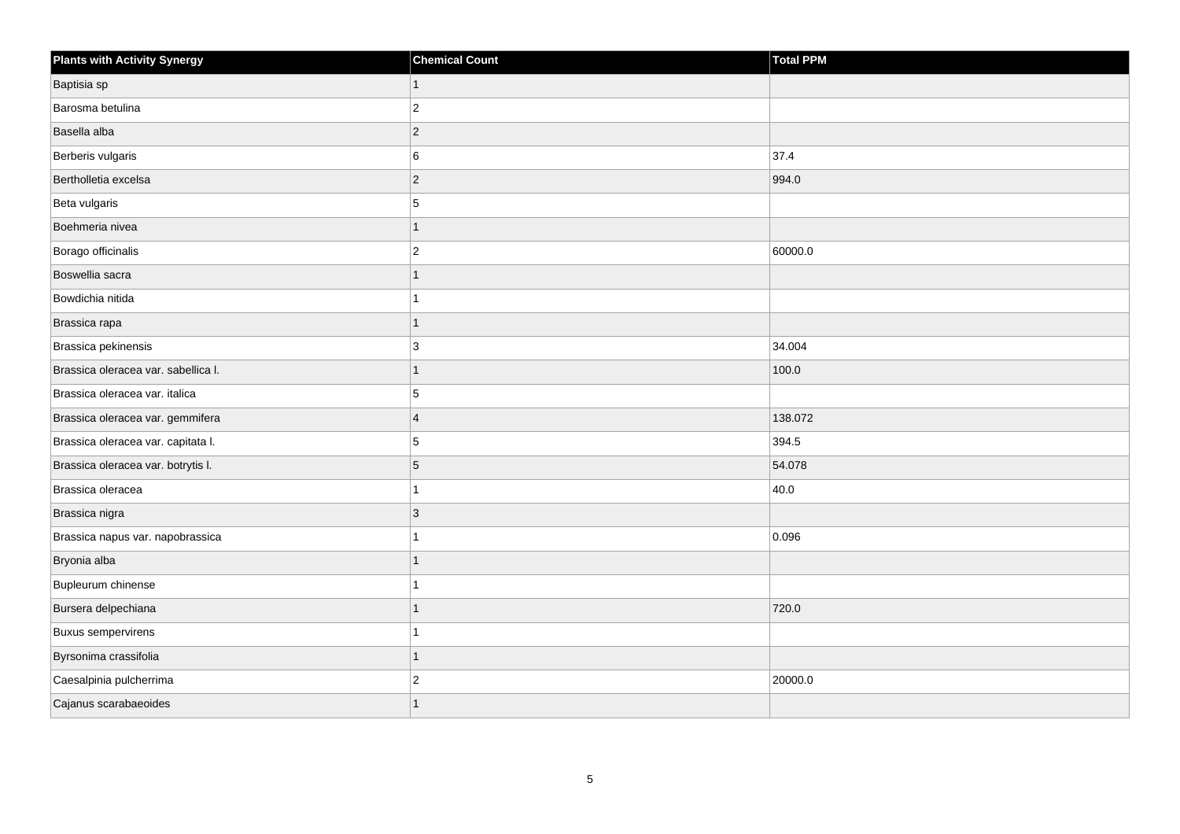| <b>Plants with Activity Synergy</b> | <b>Chemical Count</b> | <b>Total PPM</b> |
|-------------------------------------|-----------------------|------------------|
| Baptisia sp                         | $\mathbf{1}$          |                  |
| Barosma betulina                    | $ 2\rangle$           |                  |
| Basella alba                        | $ 2\rangle$           |                  |
| Berberis vulgaris                   | 6                     | 37.4             |
| Bertholletia excelsa                | $ 2\rangle$           | 994.0            |
| Beta vulgaris                       | 5                     |                  |
| Boehmeria nivea                     | 1                     |                  |
| Borago officinalis                  | $\vert$ 2             | 60000.0          |
| Boswellia sacra                     | $\overline{1}$        |                  |
| Bowdichia nitida                    | 1                     |                  |
| Brassica rapa                       | $\mathbf{1}$          |                  |
| Brassica pekinensis                 | 3                     | 34.004           |
| Brassica oleracea var. sabellica I. | $\overline{1}$        | 100.0            |
| Brassica oleracea var. italica      | 5                     |                  |
| Brassica oleracea var. gemmifera    | $\overline{4}$        | 138.072          |
| Brassica oleracea var. capitata I.  | 5                     | 394.5            |
| Brassica oleracea var. botrytis I.  | $\sqrt{5}$            | 54.078           |
| Brassica oleracea                   | 1                     | 40.0             |
| Brassica nigra                      | 3                     |                  |
| Brassica napus var. napobrassica    | 1                     | 0.096            |
| Bryonia alba                        | 1                     |                  |
| Bupleurum chinense                  | $\overline{1}$        |                  |
| Bursera delpechiana                 | 1                     | 720.0            |
| <b>Buxus sempervirens</b>           | 1                     |                  |
| Byrsonima crassifolia               | $\overline{1}$        |                  |
| Caesalpinia pulcherrima             | $\overline{c}$        | 20000.0          |
| Cajanus scarabaeoides               | 1                     |                  |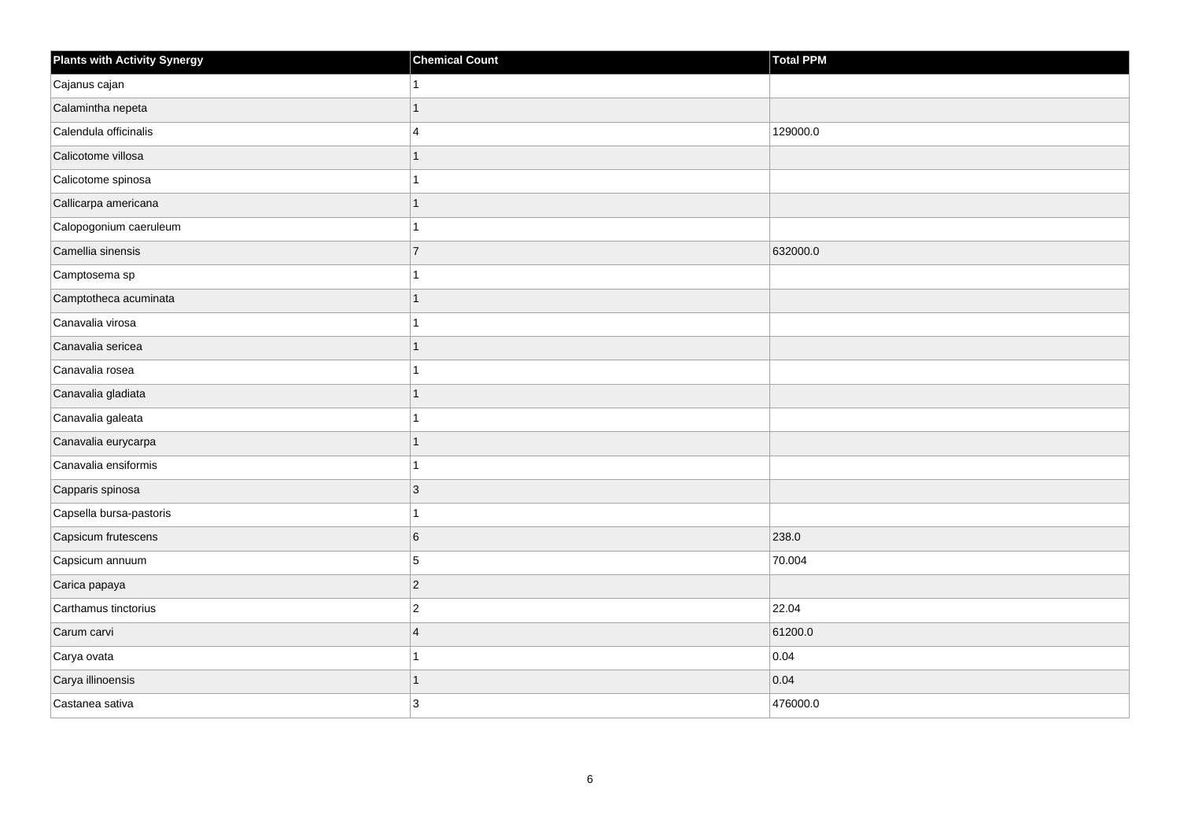| <b>Plants with Activity Synergy</b> | <b>Chemical Count</b> | Total PPM |
|-------------------------------------|-----------------------|-----------|
| Cajanus cajan                       |                       |           |
| Calamintha nepeta                   |                       |           |
| Calendula officinalis               | 4                     | 129000.0  |
| Calicotome villosa                  |                       |           |
| Calicotome spinosa                  |                       |           |
| Callicarpa americana                |                       |           |
| Calopogonium caeruleum              |                       |           |
| Camellia sinensis                   | $\overline{7}$        | 632000.0  |
| Camptosema sp                       |                       |           |
| Camptotheca acuminata               |                       |           |
| Canavalia virosa                    |                       |           |
| Canavalia sericea                   |                       |           |
| Canavalia rosea                     |                       |           |
| Canavalia gladiata                  | 1                     |           |
| Canavalia galeata                   |                       |           |
| Canavalia eurycarpa                 | 1                     |           |
| Canavalia ensiformis                |                       |           |
| Capparis spinosa                    | 3                     |           |
| Capsella bursa-pastoris             |                       |           |
| Capsicum frutescens                 | 6                     | 238.0     |
| Capsicum annuum                     | 5                     | 70.004    |
| Carica papaya                       | $\overline{2}$        |           |
| Carthamus tinctorius                | $\overline{c}$        | 22.04     |
| Carum carvi                         | $\overline{4}$        | 61200.0   |
| Carya ovata                         |                       | 0.04      |
| Carya illinoensis                   |                       | 0.04      |
| Castanea sativa                     | 3                     | 476000.0  |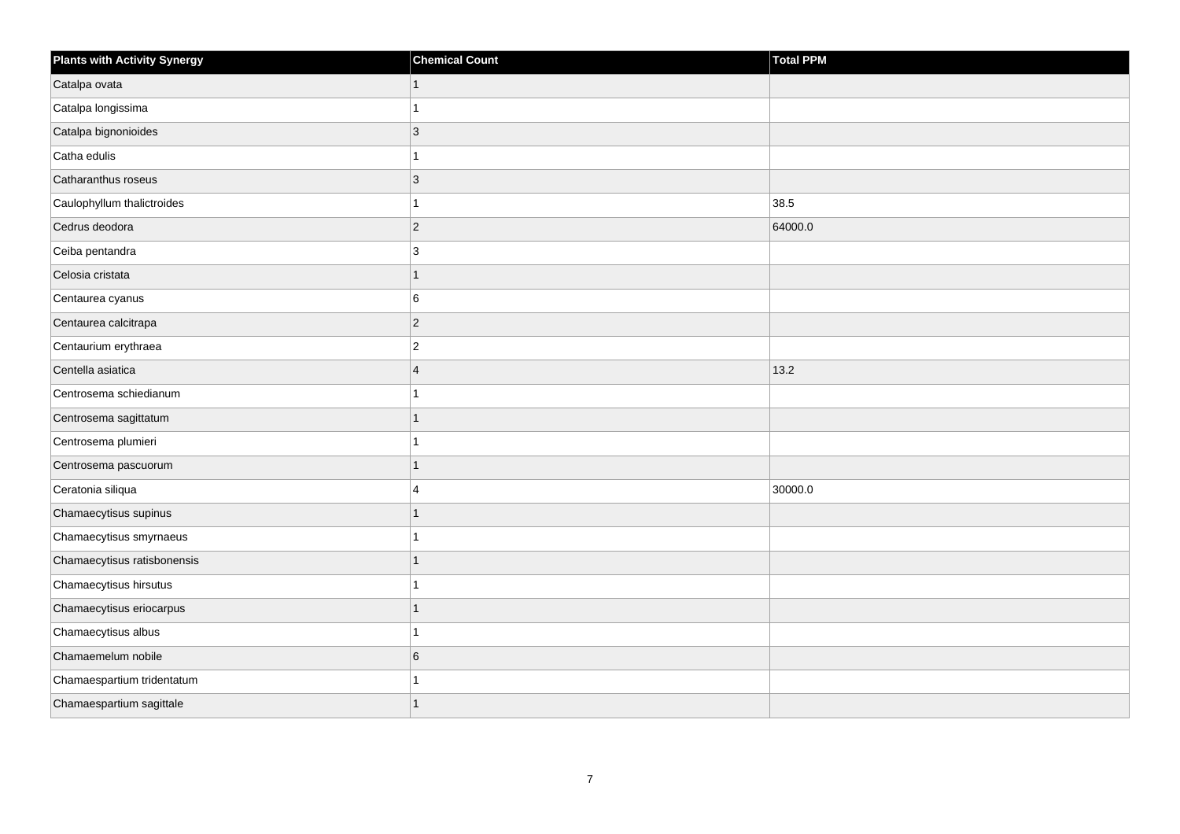| <b>Plants with Activity Synergy</b> | <b>Chemical Count</b>   | <b>Total PPM</b> |
|-------------------------------------|-------------------------|------------------|
| Catalpa ovata                       |                         |                  |
| Catalpa longissima                  |                         |                  |
| Catalpa bignonioides                | 3                       |                  |
| Catha edulis                        |                         |                  |
| Catharanthus roseus                 | 3                       |                  |
| Caulophyllum thalictroides          |                         | 38.5             |
| Cedrus deodora                      | $\overline{2}$          | 64000.0          |
| Ceiba pentandra                     | 3                       |                  |
| Celosia cristata                    | 1                       |                  |
| Centaurea cyanus                    | 6                       |                  |
| Centaurea calcitrapa                | $\overline{a}$          |                  |
| Centaurium erythraea                | $\overline{2}$          |                  |
| Centella asiatica                   | $\overline{\mathbf{A}}$ | 13.2             |
| Centrosema schiedianum              |                         |                  |
| Centrosema sagittatum               |                         |                  |
| Centrosema plumieri                 |                         |                  |
| Centrosema pascuorum                |                         |                  |
| Ceratonia siliqua                   | 4                       | 30000.0          |
| Chamaecytisus supinus               | 1                       |                  |
| Chamaecytisus smyrnaeus             |                         |                  |
| Chamaecytisus ratisbonensis         |                         |                  |
| Chamaecytisus hirsutus              |                         |                  |
| Chamaecytisus eriocarpus            |                         |                  |
| Chamaecytisus albus                 |                         |                  |
| Chamaemelum nobile                  | 6                       |                  |
| Chamaespartium tridentatum          |                         |                  |
| Chamaespartium sagittale            |                         |                  |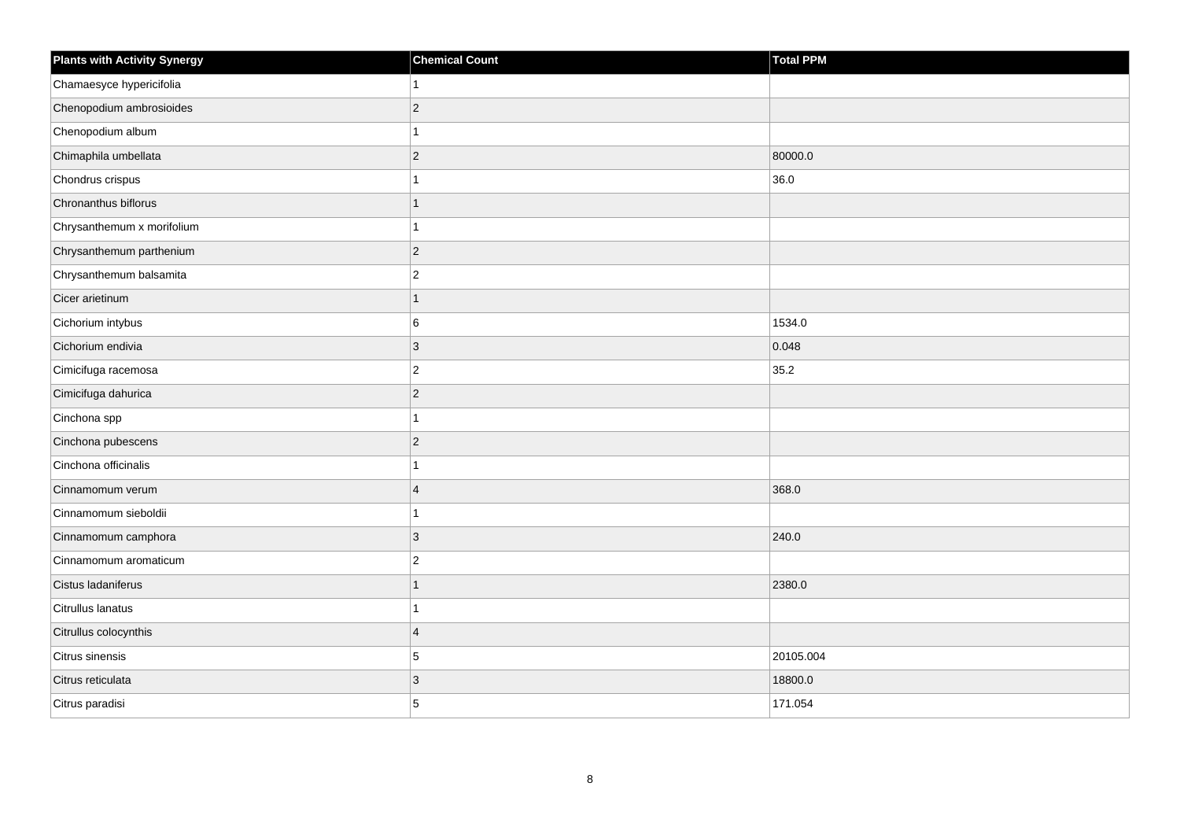| <b>Plants with Activity Synergy</b> | <b>Chemical Count</b> | Total PPM |
|-------------------------------------|-----------------------|-----------|
| Chamaesyce hypericifolia            |                       |           |
| Chenopodium ambrosioides            | $\overline{2}$        |           |
| Chenopodium album                   |                       |           |
| Chimaphila umbellata                | $\overline{2}$        | 80000.0   |
| Chondrus crispus                    |                       | 36.0      |
| Chronanthus biflorus                | 1                     |           |
| Chrysanthemum x morifolium          |                       |           |
| Chrysanthemum parthenium            | $\overline{2}$        |           |
| Chrysanthemum balsamita             | $\overline{c}$        |           |
| Cicer arietinum                     | 1                     |           |
| Cichorium intybus                   | 6                     | 1534.0    |
| Cichorium endivia                   | 3                     | 0.048     |
| Cimicifuga racemosa                 | $\overline{2}$        | 35.2      |
| Cimicifuga dahurica                 | $\overline{2}$        |           |
| Cinchona spp                        |                       |           |
| Cinchona pubescens                  | $\overline{2}$        |           |
| Cinchona officinalis                |                       |           |
| Cinnamomum verum                    | $\overline{4}$        | 368.0     |
| Cinnamomum sieboldii                | 1                     |           |
| Cinnamomum camphora                 | 3                     | 240.0     |
| Cinnamomum aromaticum               | $\overline{2}$        |           |
| Cistus ladaniferus                  | 1                     | 2380.0    |
| Citrullus lanatus                   |                       |           |
| Citrullus colocynthis               | $\overline{4}$        |           |
| Citrus sinensis                     | 5                     | 20105.004 |
| Citrus reticulata                   | 3                     | 18800.0   |
| Citrus paradisi                     | 5                     | 171.054   |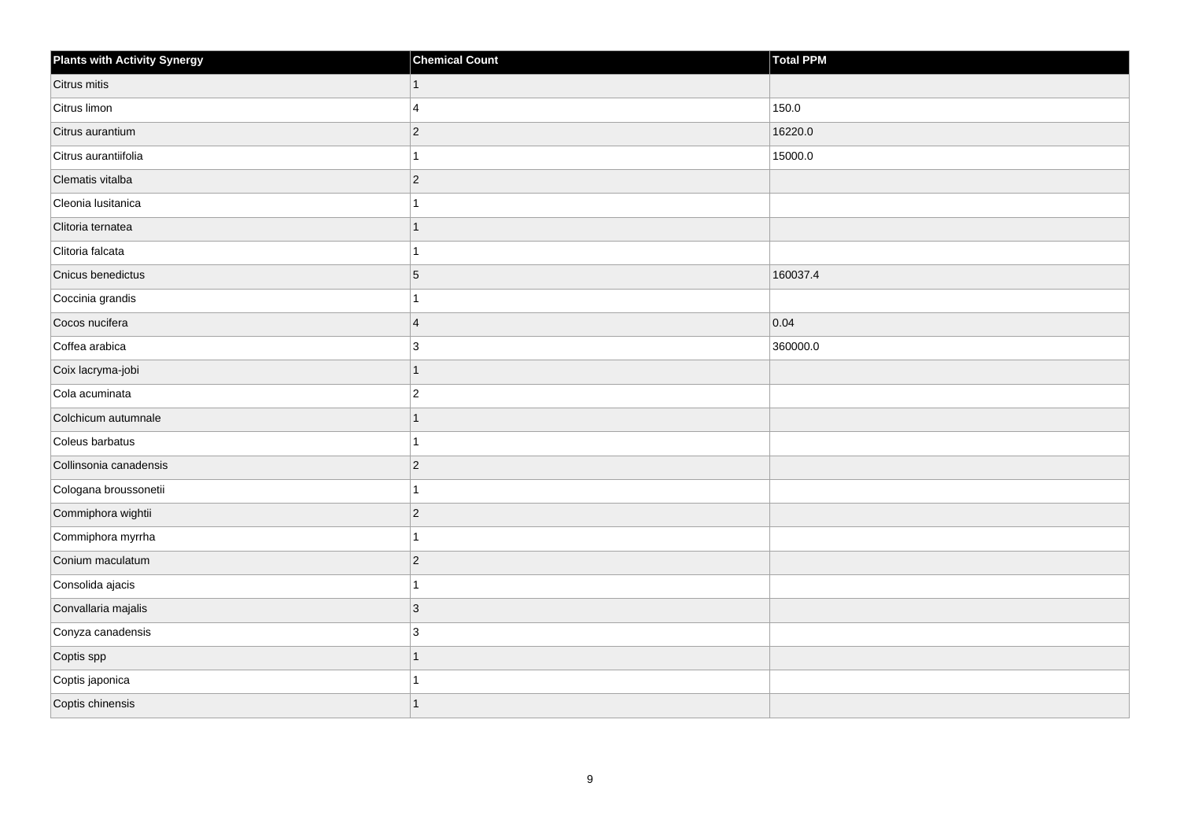| Plants with Activity Synergy | <b>Chemical Count</b>   | Total PPM |
|------------------------------|-------------------------|-----------|
| Citrus mitis                 | $\mathbf{1}$            |           |
| Citrus limon                 | $\overline{\mathbf{A}}$ | 150.0     |
| Citrus aurantium             | $ 2\rangle$             | 16220.0   |
| Citrus aurantiifolia         | $\mathbf{1}$            | 15000.0   |
| Clematis vitalba             | $ 2\rangle$             |           |
| Cleonia lusitanica           | 1                       |           |
| Clitoria ternatea            | $\mathbf{1}$            |           |
| Clitoria falcata             | 1                       |           |
| Cnicus benedictus            | $\vert 5 \vert$         | 160037.4  |
| Coccinia grandis             | 1                       |           |
| Cocos nucifera               | $\overline{4}$          | 0.04      |
| Coffea arabica               | 3                       | 360000.0  |
| Coix lacryma-jobi            | $\overline{1}$          |           |
| Cola acuminata               | $ 2\rangle$             |           |
| Colchicum autumnale          | 1                       |           |
| Coleus barbatus              | $\mathbf{1}$            |           |
| Collinsonia canadensis       | $ 2\rangle$             |           |
| Cologana broussonetii        | $\mathbf{1}$            |           |
| Commiphora wightii           | $ 2\rangle$             |           |
| Commiphora myrrha            | 1                       |           |
| Conium maculatum             | $ 2\rangle$             |           |
| Consolida ajacis             | 1                       |           |
| Convallaria majalis          | $ 3\rangle$             |           |
| Conyza canadensis            | 3                       |           |
| Coptis spp                   | $\mathbf{1}$            |           |
| Coptis japonica              | 1                       |           |
| Coptis chinensis             | $\mathbf{1}$            |           |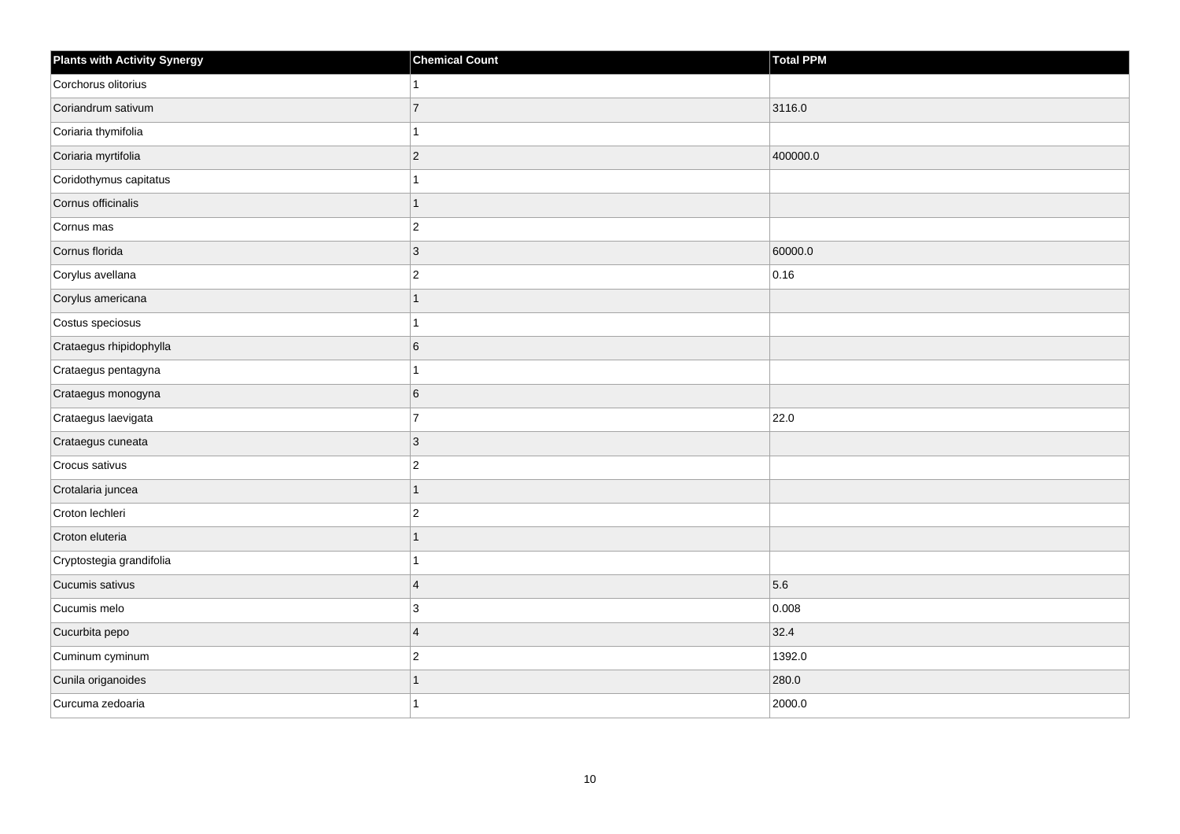| <b>Plants with Activity Synergy</b> | <b>Chemical Count</b> | <b>Total PPM</b> |
|-------------------------------------|-----------------------|------------------|
| Corchorus olitorius                 | 1                     |                  |
| Coriandrum sativum                  | $\overline{7}$        | 3116.0           |
| Coriaria thymifolia                 | 1                     |                  |
| Coriaria myrtifolia                 | $\overline{c}$        | 400000.0         |
| Coridothymus capitatus              | 1                     |                  |
| Cornus officinalis                  | $\overline{1}$        |                  |
| Cornus mas                          | $\overline{2}$        |                  |
| Cornus florida                      | 3                     | 60000.0          |
| Corylus avellana                    | $\overline{c}$        | 0.16             |
| Corylus americana                   | $\mathbf{1}$          |                  |
| Costus speciosus                    | 1                     |                  |
| Crataegus rhipidophylla             | 6                     |                  |
| Crataegus pentagyna                 | 1                     |                  |
| Crataegus monogyna                  | 6                     |                  |
| Crataegus laevigata                 | $\overline{7}$        | 22.0             |
| Crataegus cuneata                   | $\mathbf{3}$          |                  |
| Crocus sativus                      | $\overline{c}$        |                  |
| Crotalaria juncea                   | $\overline{1}$        |                  |
| Croton lechleri                     | $\overline{c}$        |                  |
| Croton eluteria                     | $\overline{1}$        |                  |
| Cryptostegia grandifolia            | 1                     |                  |
| Cucumis sativus                     | $\overline{4}$        | 5.6              |
| Cucumis melo                        | 3                     | 0.008            |
| Cucurbita pepo                      | $\overline{4}$        | 32.4             |
| Cuminum cyminum                     | $\overline{c}$        | 1392.0           |
| Cunila origanoides                  | 1                     | 280.0            |
| Curcuma zedoaria                    | 1                     | 2000.0           |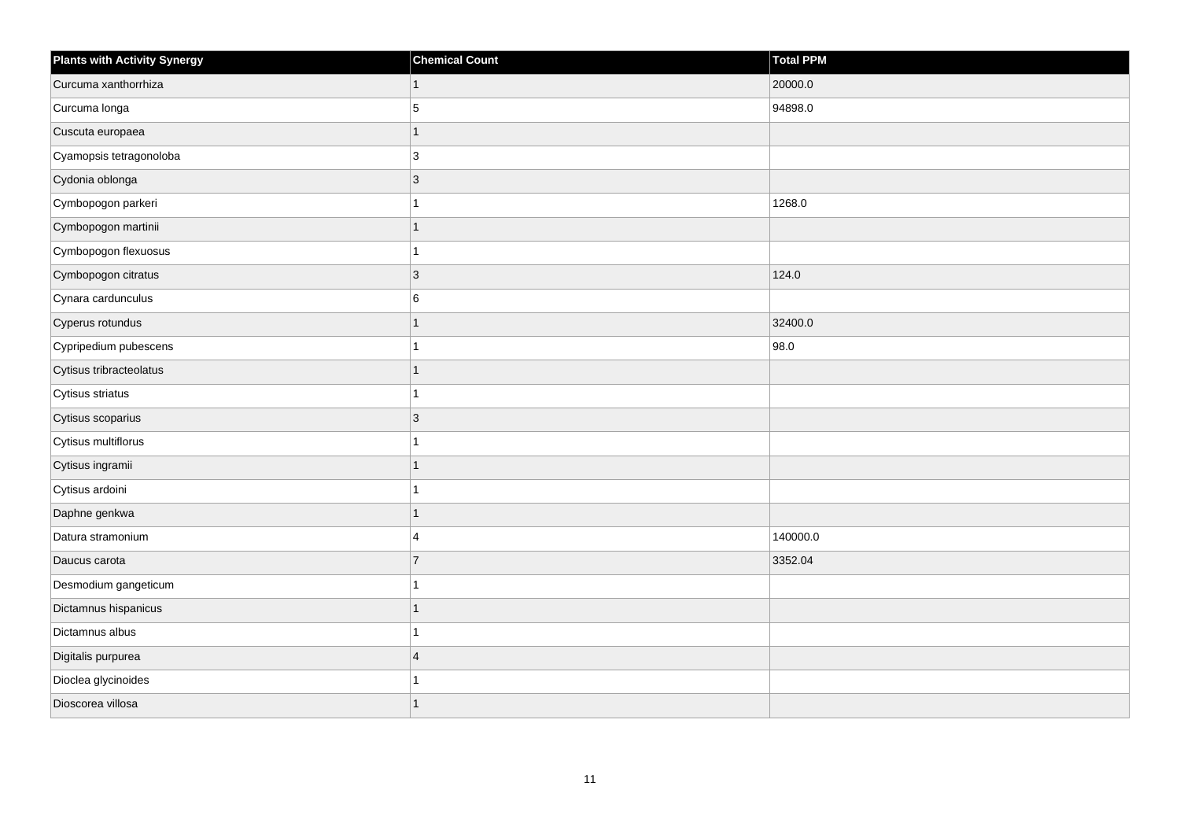| <b>Plants with Activity Synergy</b> | <b>Chemical Count</b> | Total PPM |
|-------------------------------------|-----------------------|-----------|
| Curcuma xanthorrhiza                | 1                     | 20000.0   |
| Curcuma longa                       | 5                     | 94898.0   |
| Cuscuta europaea                    | 1                     |           |
| Cyamopsis tetragonoloba             | 3                     |           |
| Cydonia oblonga                     | 3                     |           |
| Cymbopogon parkeri                  |                       | 1268.0    |
| Cymbopogon martinii                 |                       |           |
| Cymbopogon flexuosus                |                       |           |
| Cymbopogon citratus                 | 3                     | 124.0     |
| Cynara cardunculus                  | 6                     |           |
| Cyperus rotundus                    | 1                     | 32400.0   |
| Cypripedium pubescens               |                       | 98.0      |
| Cytisus tribracteolatus             | 1                     |           |
| Cytisus striatus                    |                       |           |
| Cytisus scoparius                   | 3                     |           |
| Cytisus multiflorus                 |                       |           |
| Cytisus ingramii                    |                       |           |
| Cytisus ardoini                     |                       |           |
| Daphne genkwa                       | 1                     |           |
| Datura stramonium                   | 4                     | 140000.0  |
| Daucus carota                       | $\overline{7}$        | 3352.04   |
| Desmodium gangeticum                |                       |           |
| Dictamnus hispanicus                |                       |           |
| Dictamnus albus                     |                       |           |
| Digitalis purpurea                  | $\overline{4}$        |           |
| Dioclea glycinoides                 |                       |           |
| Dioscorea villosa                   |                       |           |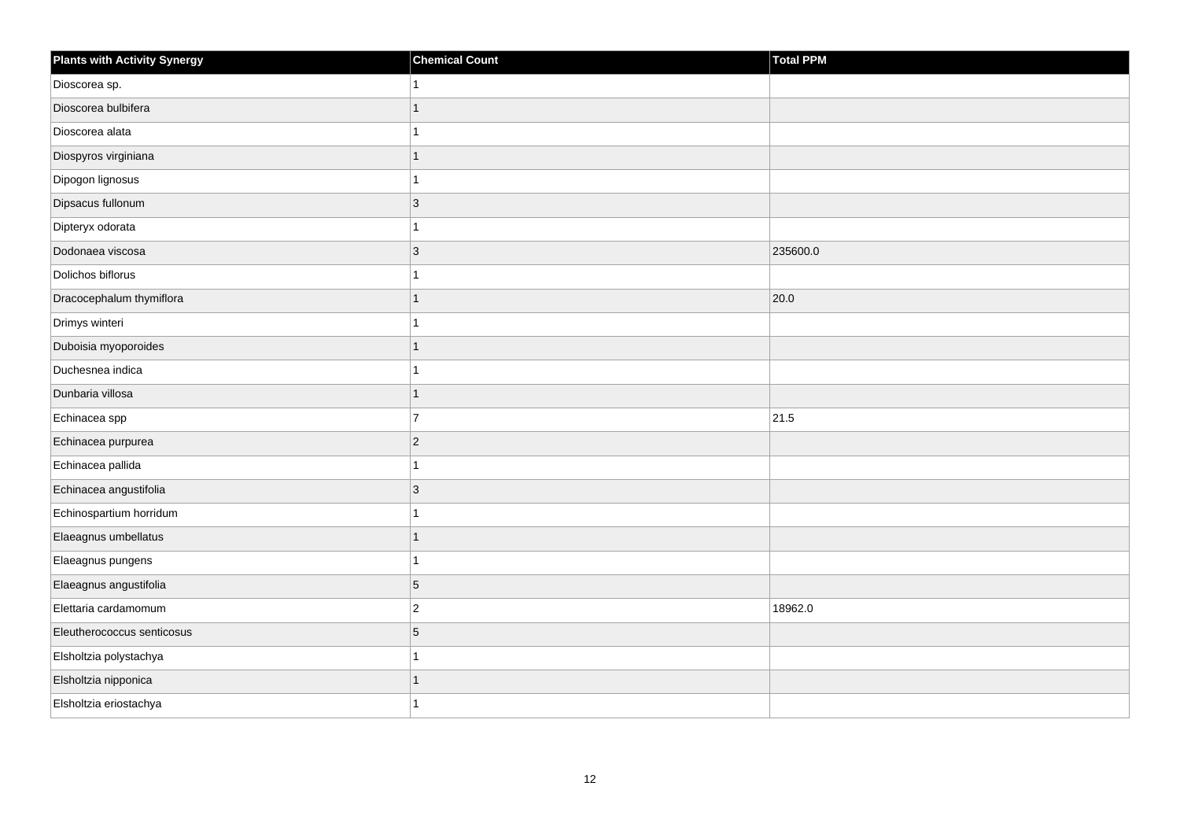| <b>Plants with Activity Synergy</b> | <b>Chemical Count</b> | Total PPM |
|-------------------------------------|-----------------------|-----------|
| Dioscorea sp.                       |                       |           |
| Dioscorea bulbifera                 |                       |           |
| Dioscorea alata                     |                       |           |
| Diospyros virginiana                | 1                     |           |
| Dipogon lignosus                    |                       |           |
| Dipsacus fullonum                   | 3                     |           |
| Dipteryx odorata                    |                       |           |
| Dodonaea viscosa                    | 3                     | 235600.0  |
| Dolichos biflorus                   |                       |           |
| Dracocephalum thymiflora            | 1                     | 20.0      |
| Drimys winteri                      |                       |           |
| Duboisia myoporoides                |                       |           |
| Duchesnea indica                    | 1                     |           |
| Dunbaria villosa                    | 1                     |           |
| Echinacea spp                       | $\overline{7}$        | 21.5      |
| Echinacea purpurea                  | $\overline{2}$        |           |
| Echinacea pallida                   |                       |           |
| Echinacea angustifolia              | 3                     |           |
| Echinospartium horridum             | 1                     |           |
| Elaeagnus umbellatus                | 1                     |           |
| Elaeagnus pungens                   |                       |           |
| Elaeagnus angustifolia              | 5                     |           |
| Elettaria cardamomum                | $\overline{2}$        | 18962.0   |
| Eleutherococcus senticosus          | 5                     |           |
| Elsholtzia polystachya              | 1                     |           |
| Elsholtzia nipponica                |                       |           |
| Elsholtzia eriostachya              |                       |           |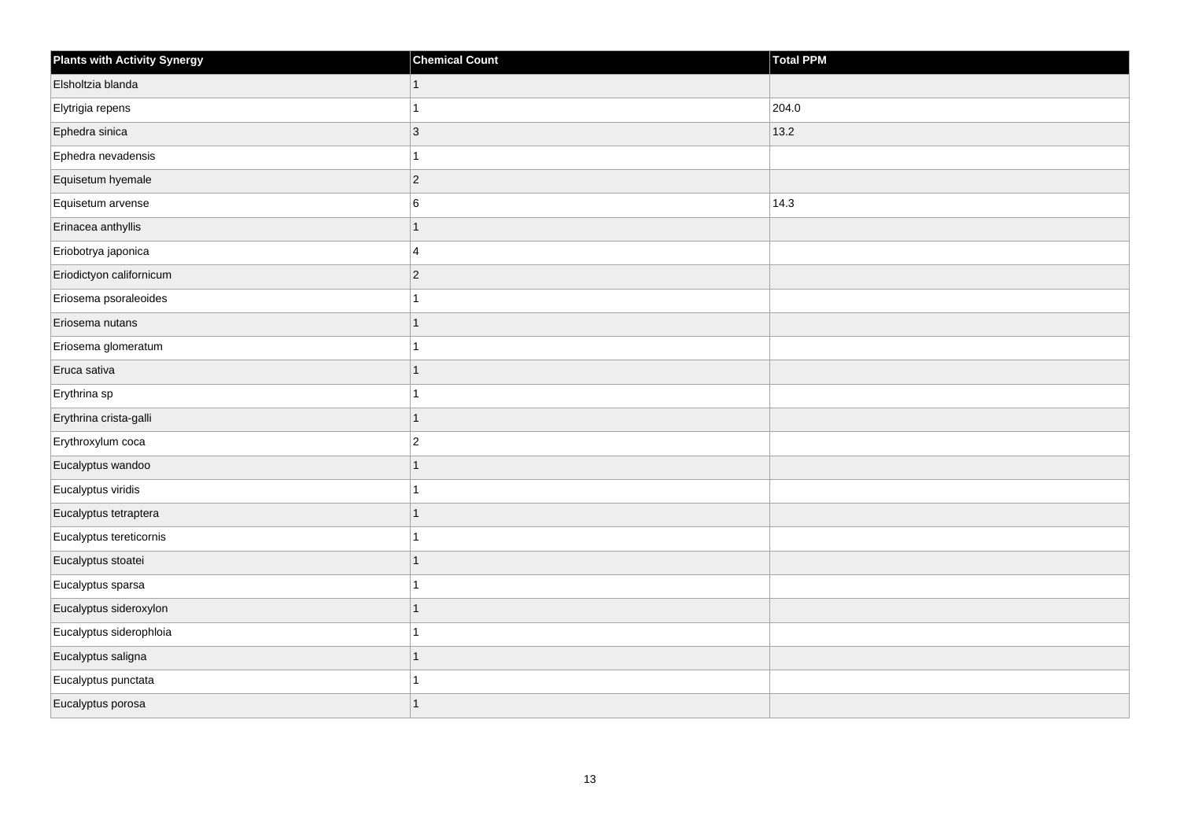| <b>Plants with Activity Synergy</b> | <b>Chemical Count</b> | Total PPM |
|-------------------------------------|-----------------------|-----------|
| Elsholtzia blanda                   | $\mathbf{1}$          |           |
| Elytrigia repens                    | 1                     | 204.0     |
| Ephedra sinica                      | $\sqrt{3}$            | 13.2      |
| Ephedra nevadensis                  | 1                     |           |
| Equisetum hyemale                   | $\overline{c}$        |           |
| Equisetum arvense                   | 6                     | 14.3      |
| Erinacea anthyllis                  | $\mathbf{1}$          |           |
| Eriobotrya japonica                 | 4                     |           |
| Eriodictyon californicum            | $\overline{c}$        |           |
| Eriosema psoraleoides               | 1                     |           |
| Eriosema nutans                     | $\overline{1}$        |           |
| Eriosema glomeratum                 | 1                     |           |
| Eruca sativa                        | $\overline{1}$        |           |
| Erythrina sp                        | 1                     |           |
| Erythrina crista-galli              | $\mathbf{1}$          |           |
| Erythroxylum coca                   | $\overline{c}$        |           |
| Eucalyptus wandoo                   | 1                     |           |
| Eucalyptus viridis                  | 1                     |           |
| Eucalyptus tetraptera               | $\mathbf{1}$          |           |
| Eucalyptus tereticornis             | 1                     |           |
| Eucalyptus stoatei                  | $\overline{1}$        |           |
| Eucalyptus sparsa                   | $\overline{1}$        |           |
| Eucalyptus sideroxylon              | $\overline{1}$        |           |
| Eucalyptus siderophloia             | 1                     |           |
| Eucalyptus saligna                  | $\mathbf{1}$          |           |
| Eucalyptus punctata                 |                       |           |
| Eucalyptus porosa                   | 1                     |           |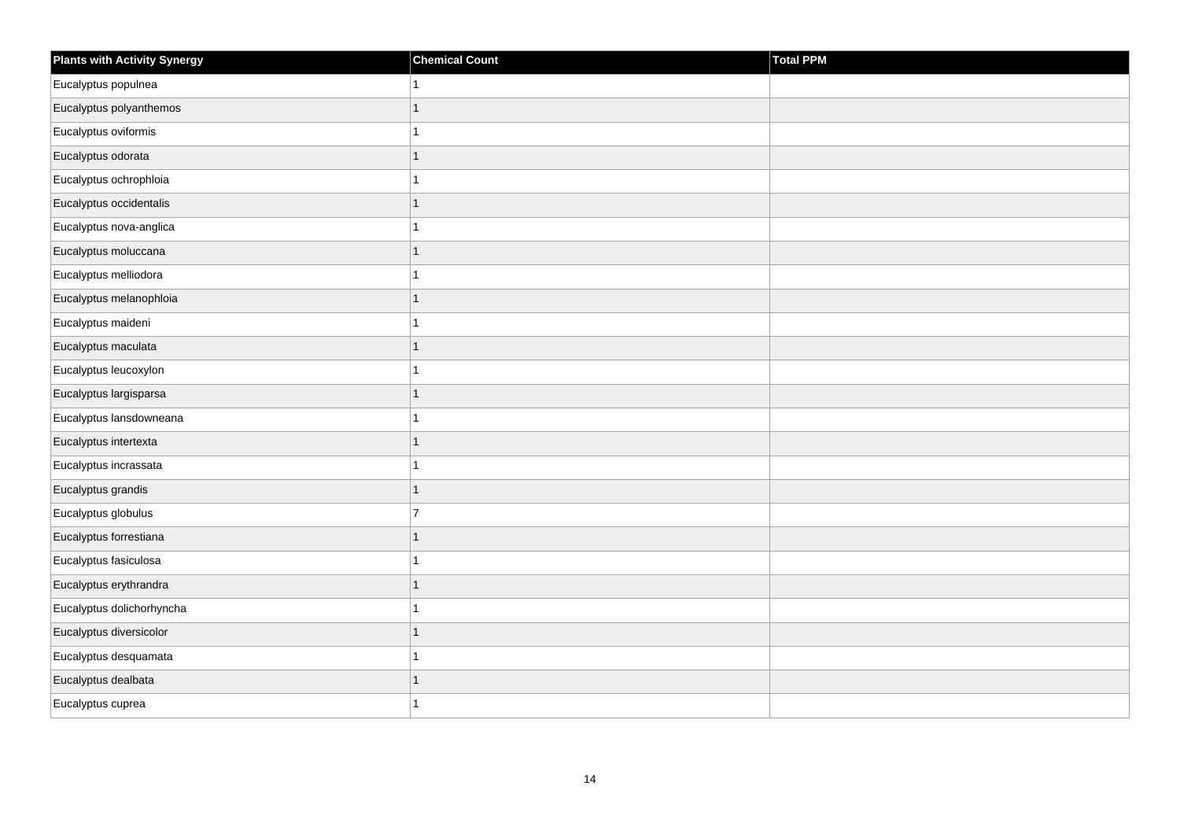| <b>Plants with Activity Synergy</b> | <b>Chemical Count</b> | Total PPM |
|-------------------------------------|-----------------------|-----------|
| Eucalyptus populnea                 | $\mathbf{1}$          |           |
| Eucalyptus polyanthemos             | $\mathbf{1}$          |           |
| Eucalyptus oviformis                | $\mathbf{1}$          |           |
| Eucalyptus odorata                  | $\mathbf{1}$          |           |
| Eucalyptus ochrophloia              | $\mathbf{1}$          |           |
| Eucalyptus occidentalis             | $\mathbf{1}$          |           |
| Eucalyptus nova-anglica             | $\mathbf{1}$          |           |
| Eucalyptus moluccana                | $\overline{1}$        |           |
| Eucalyptus melliodora               | $\mathbf{1}$          |           |
| Eucalyptus melanophloia             | $\mathbf{1}$          |           |
| Eucalyptus maideni                  | $\mathbf{1}$          |           |
| Eucalyptus maculata                 | $\mathbf{1}$          |           |
| Eucalyptus leucoxylon               | $\mathbf{1}$          |           |
| Eucalyptus largisparsa              | $\mathbf{1}$          |           |
| Eucalyptus lansdowneana             | $\mathbf{1}$          |           |
| Eucalyptus intertexta               | $\mathbf{1}$          |           |
| Eucalyptus incrassata               | $\mathbf{1}$          |           |
| Eucalyptus grandis                  | $\mathbf{1}$          |           |
| Eucalyptus globulus                 | $\overline{7}$        |           |
| Eucalyptus forrestiana              | $\mathbf{1}$          |           |
| Eucalyptus fasiculosa               | $\mathbf{1}$          |           |
| Eucalyptus erythrandra              | $\mathbf{1}$          |           |
| Eucalyptus dolichorhyncha           | $\mathbf{1}$          |           |
| Eucalyptus diversicolor             | $\mathbf{1}$          |           |
| Eucalyptus desquamata               | $\mathbf{1}$          |           |
| Eucalyptus dealbata                 | 1                     |           |
| Eucalyptus cuprea                   | 1                     |           |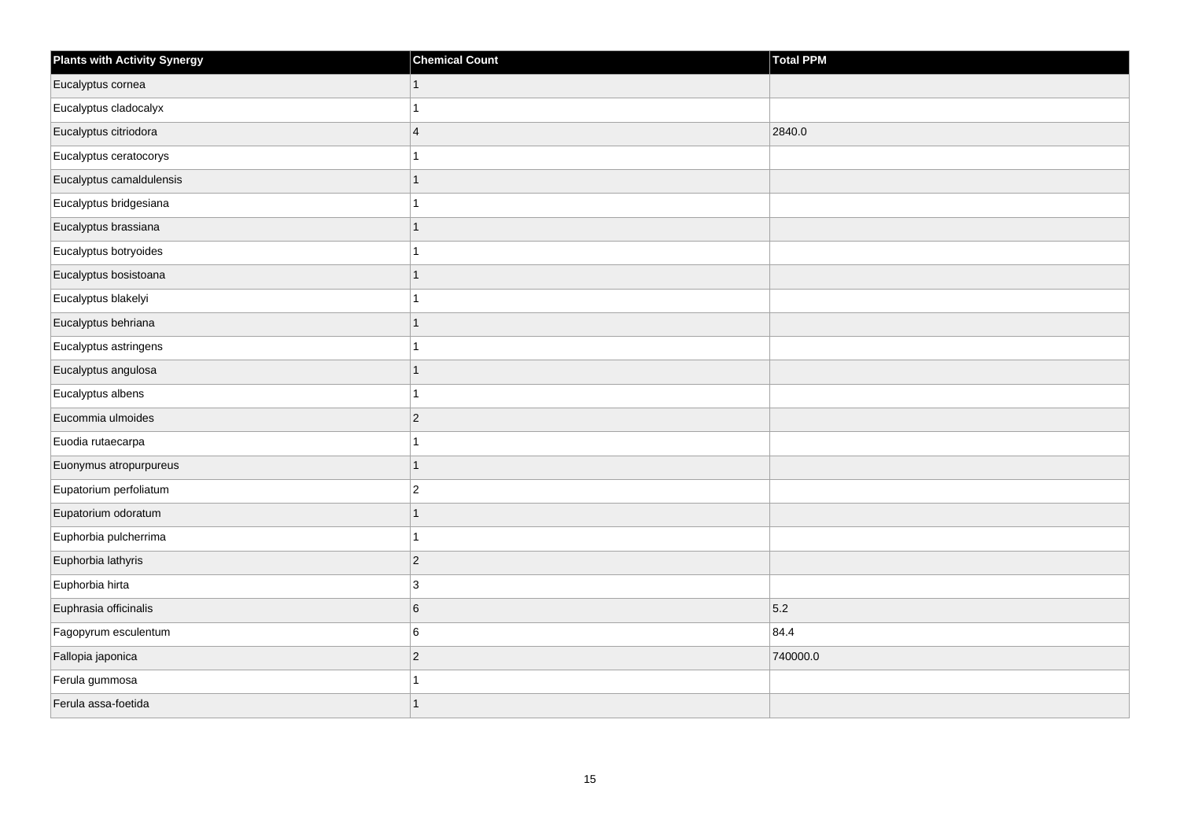| <b>Plants with Activity Synergy</b> | <b>Chemical Count</b> | Total PPM |
|-------------------------------------|-----------------------|-----------|
| Eucalyptus cornea                   | $\mathbf{1}$          |           |
| Eucalyptus cladocalyx               | 1                     |           |
| Eucalyptus citriodora               | $\overline{4}$        | 2840.0    |
| Eucalyptus ceratocorys              | $\mathbf{1}$          |           |
| Eucalyptus camaldulensis            | $\mathbf{1}$          |           |
| Eucalyptus bridgesiana              | $\mathbf{1}$          |           |
| Eucalyptus brassiana                | $\mathbf{1}$          |           |
| Eucalyptus botryoides               | $\mathbf{1}$          |           |
| Eucalyptus bosistoana               | $\mathbf{1}$          |           |
| Eucalyptus blakelyi                 | $\mathbf{1}$          |           |
| Eucalyptus behriana                 | $\overline{1}$        |           |
| Eucalyptus astringens               | $\mathbf{1}$          |           |
| Eucalyptus angulosa                 | $\mathbf{1}$          |           |
| Eucalyptus albens                   | $\mathbf{1}$          |           |
| Eucommia ulmoides                   | $\vert$ 2             |           |
| Euodia rutaecarpa                   | $\mathbf{1}$          |           |
| Euonymus atropurpureus              | $\mathbf{1}$          |           |
| Eupatorium perfoliatum              | $\mathbf 2$           |           |
| Eupatorium odoratum                 | $\mathbf{1}$          |           |
| Euphorbia pulcherrima               | $\mathbf{1}$          |           |
| Euphorbia lathyris                  | $\vert$ 2             |           |
| Euphorbia hirta                     | $\mathbf{3}$          |           |
| Euphrasia officinalis               | $\,6\,$               | 5.2       |
| Fagopyrum esculentum                | 6                     | 84.4      |
| Fallopia japonica                   | $\vert$ 2             | 740000.0  |
| Ferula gummosa                      | 1                     |           |
| Ferula assa-foetida                 | $\overline{1}$        |           |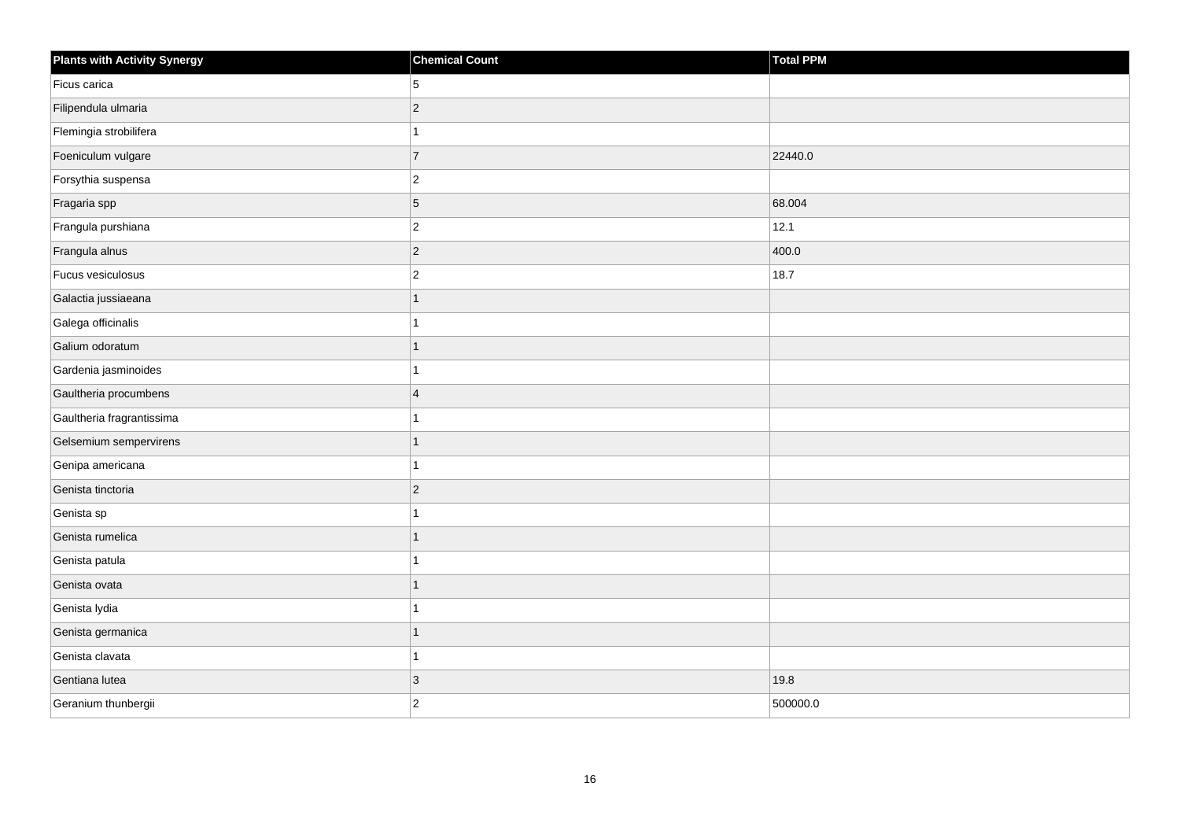| <b>Plants with Activity Synergy</b> | <b>Chemical Count</b> | <b>Total PPM</b> |
|-------------------------------------|-----------------------|------------------|
| Ficus carica                        | 5                     |                  |
| Filipendula ulmaria                 | $\overline{c}$        |                  |
| Flemingia strobilifera              | 1                     |                  |
| Foeniculum vulgare                  | $\overline{7}$        | 22440.0          |
| Forsythia suspensa                  | $\overline{2}$        |                  |
| Fragaria spp                        | 5                     | 68.004           |
| Frangula purshiana                  | $\overline{2}$        | 12.1             |
| Frangula alnus                      | $\overline{c}$        | 400.0            |
| Fucus vesiculosus                   | $\overline{c}$        | 18.7             |
| Galactia jussiaeana                 | $\overline{1}$        |                  |
| Galega officinalis                  | 1                     |                  |
| Galium odoratum                     | $\overline{1}$        |                  |
| Gardenia jasminoides                | 1                     |                  |
| Gaultheria procumbens               | $\overline{4}$        |                  |
| Gaultheria fragrantissima           | 1                     |                  |
| Gelsemium sempervirens              | $\overline{1}$        |                  |
| Genipa americana                    | 1                     |                  |
| Genista tinctoria                   | $\overline{c}$        |                  |
| Genista sp                          | $\overline{1}$        |                  |
| Genista rumelica                    | $\overline{1}$        |                  |
| Genista patula                      | 1                     |                  |
| Genista ovata                       | $\overline{1}$        |                  |
| Genista lydia                       | 1                     |                  |
| Genista germanica                   | $\overline{1}$        |                  |
| Genista clavata                     | $\mathbf{1}$          |                  |
| Gentiana lutea                      | $\mathfrak{S}$        | 19.8             |
| Geranium thunbergii                 | $\overline{2}$        | 500000.0         |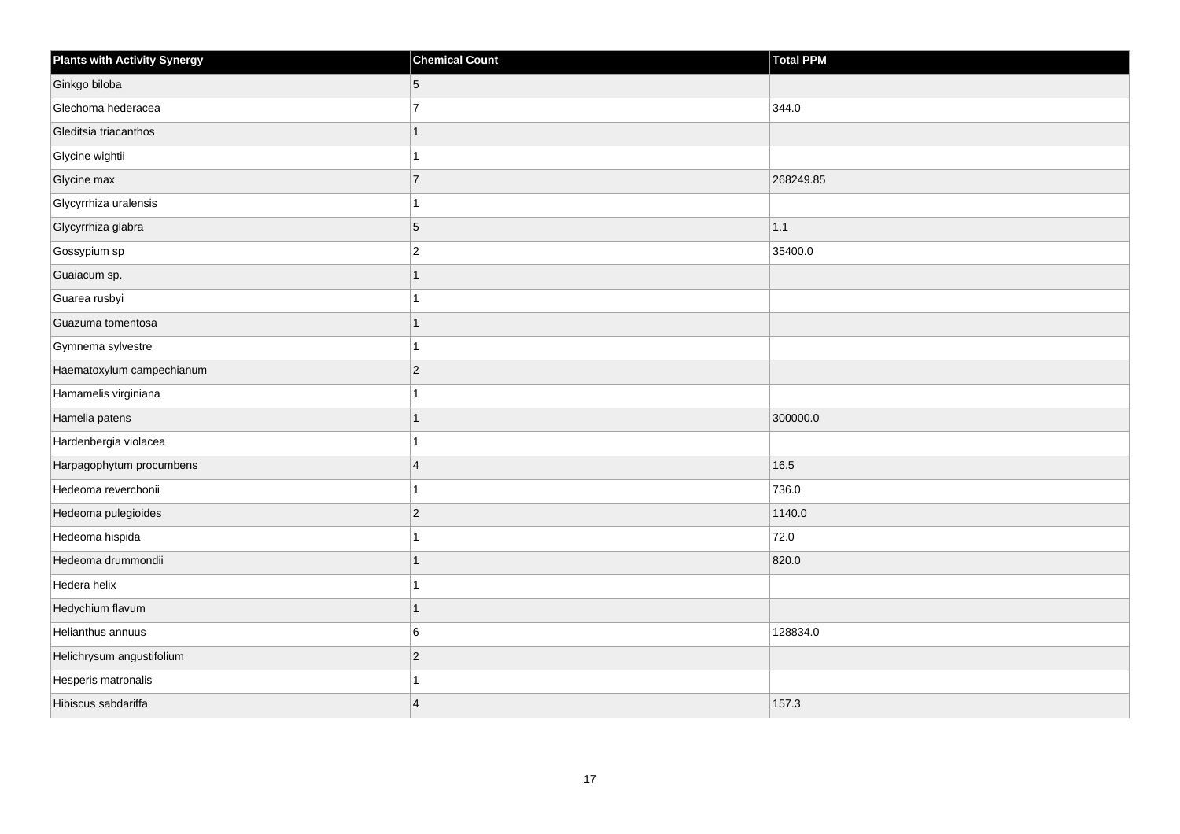| <b>Plants with Activity Synergy</b> | <b>Chemical Count</b> | <b>Total PPM</b> |
|-------------------------------------|-----------------------|------------------|
| Ginkgo biloba                       | $\overline{5}$        |                  |
| Glechoma hederacea                  | $\overline{7}$        | 344.0            |
| Gleditsia triacanthos               |                       |                  |
| Glycine wightii                     |                       |                  |
| Glycine max                         | $\overline{7}$        | 268249.85        |
| Glycyrrhiza uralensis               |                       |                  |
| Glycyrrhiza glabra                  | 5                     | 1.1              |
| Gossypium sp                        | $\overline{2}$        | 35400.0          |
| Guaiacum sp.                        |                       |                  |
| Guarea rusbyi                       |                       |                  |
| Guazuma tomentosa                   |                       |                  |
| Gymnema sylvestre                   |                       |                  |
| Haematoxylum campechianum           | $ 2\rangle$           |                  |
| Hamamelis virginiana                |                       |                  |
| Hamelia patens                      |                       | 300000.0         |
| Hardenbergia violacea               |                       |                  |
| Harpagophytum procumbens            | $\overline{4}$        | 16.5             |
| Hedeoma reverchonii                 |                       | 736.0            |
| Hedeoma pulegioides                 | $ 2\rangle$           | 1140.0           |
| Hedeoma hispida                     |                       | 72.0             |
| Hedeoma drummondii                  |                       | 820.0            |
| Hedera helix                        |                       |                  |
| Hedychium flavum                    |                       |                  |
| Helianthus annuus                   | 6                     | 128834.0         |
| Helichrysum angustifolium           | $ 2\rangle$           |                  |
| Hesperis matronalis                 |                       |                  |
| Hibiscus sabdariffa                 | $\overline{4}$        | 157.3            |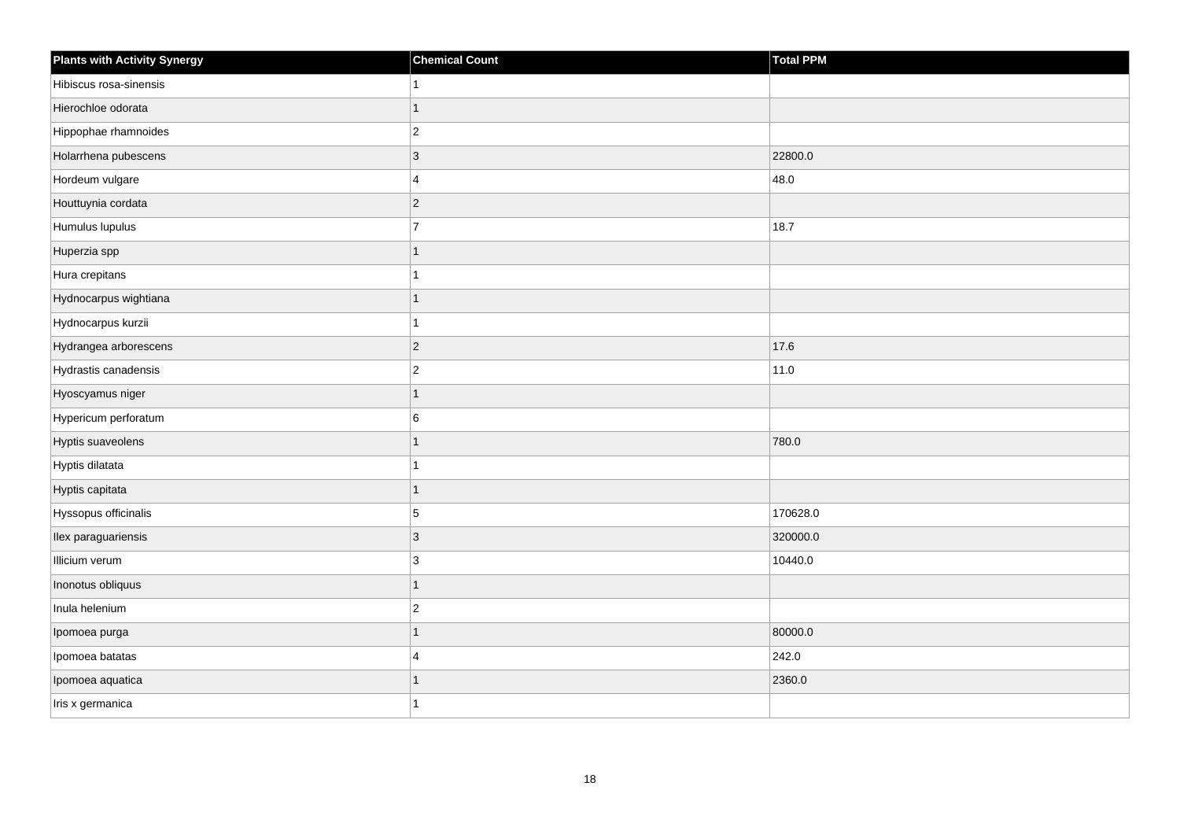| <b>Plants with Activity Synergy</b> | <b>Chemical Count</b> | <b>Total PPM</b> |
|-------------------------------------|-----------------------|------------------|
| Hibiscus rosa-sinensis              |                       |                  |
| Hierochloe odorata                  |                       |                  |
| Hippophae rhamnoides                | $\overline{c}$        |                  |
| Holarrhena pubescens                | 3                     | 22800.0          |
| Hordeum vulgare                     | 4                     | 48.0             |
| Houttuynia cordata                  | $\overline{c}$        |                  |
| Humulus lupulus                     | $\overline{7}$        | 18.7             |
| Huperzia spp                        | 1                     |                  |
| Hura crepitans                      |                       |                  |
| Hydnocarpus wightiana               | 1                     |                  |
| Hydnocarpus kurzii                  |                       |                  |
| Hydrangea arborescens               | $\overline{2}$        | 17.6             |
| Hydrastis canadensis                | $\overline{c}$        | 11.0             |
| Hyoscyamus niger                    | 1                     |                  |
| Hypericum perforatum                | 6                     |                  |
| Hyptis suaveolens                   | 1                     | 780.0            |
| Hyptis dilatata                     |                       |                  |
| Hyptis capitata                     | 1                     |                  |
| Hyssopus officinalis                | $\overline{5}$        | 170628.0         |
| Ilex paraguariensis                 | 3                     | 320000.0         |
| Illicium verum                      | 3                     | 10440.0          |
| Inonotus obliquus                   | 1                     |                  |
| Inula helenium                      | $\overline{c}$        |                  |
| Ipomoea purga                       | 1                     | 80000.0          |
| Ipomoea batatas                     | 4                     | 242.0            |
| Ipomoea aquatica                    |                       | 2360.0           |
| Iris x germanica                    |                       |                  |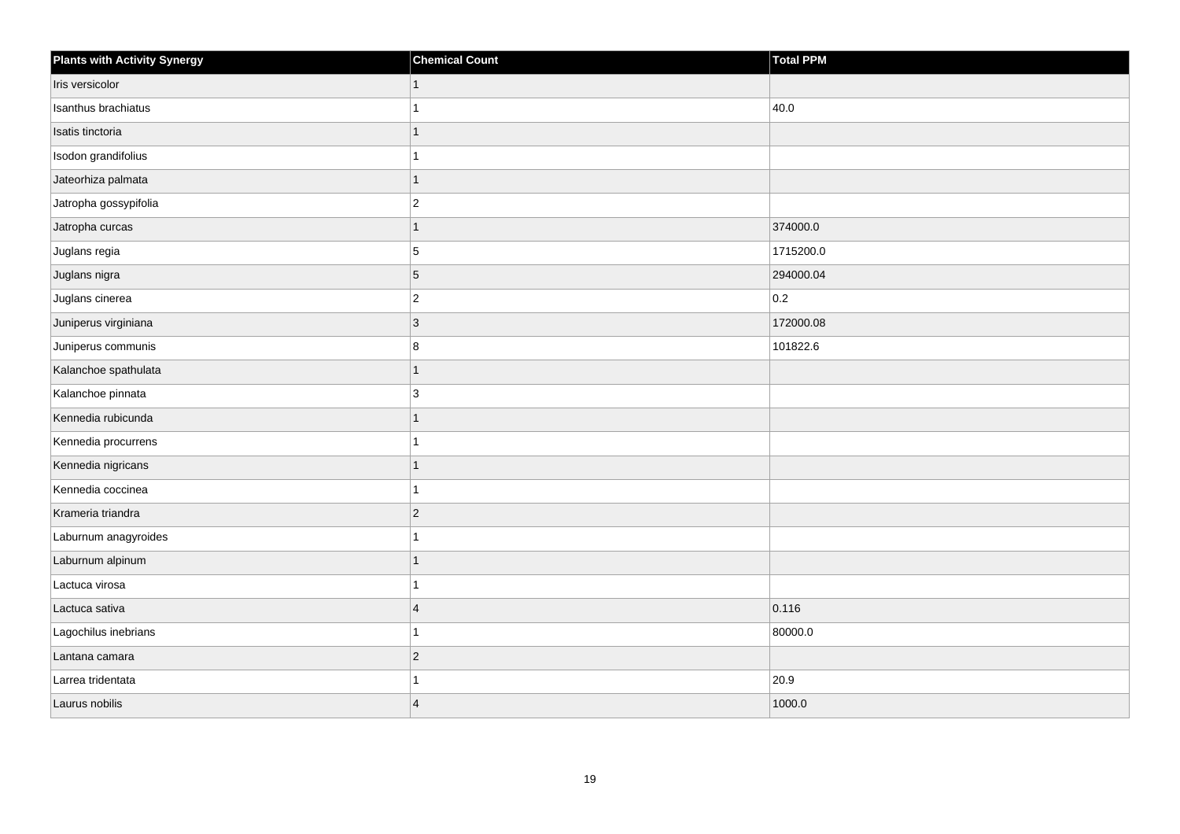| <b>Plants with Activity Synergy</b> | <b>Chemical Count</b> | Total PPM |
|-------------------------------------|-----------------------|-----------|
| Iris versicolor                     | $\mathbf 1$           |           |
| Isanthus brachiatus                 |                       | 40.0      |
| Isatis tinctoria                    |                       |           |
| Isodon grandifolius                 |                       |           |
| Jateorhiza palmata                  | 1                     |           |
| Jatropha gossypifolia               | $\overline{c}$        |           |
| Jatropha curcas                     | 1                     | 374000.0  |
| Juglans regia                       | 5                     | 1715200.0 |
| Juglans nigra                       | $\overline{5}$        | 294000.04 |
| Juglans cinerea                     | $ 2\rangle$           | 0.2       |
| Juniperus virginiana                | $ 3\rangle$           | 172000.08 |
| Juniperus communis                  | $\bf 8$               | 101822.6  |
| Kalanchoe spathulata                | 1                     |           |
| Kalanchoe pinnata                   | 3                     |           |
| Kennedia rubicunda                  |                       |           |
| Kennedia procurrens                 | 1                     |           |
| Kennedia nigricans                  |                       |           |
| Kennedia coccinea                   |                       |           |
| Krameria triandra                   | $\vert$ 2             |           |
| Laburnum anagyroides                |                       |           |
| Laburnum alpinum                    |                       |           |
| Lactuca virosa                      | 1                     |           |
| Lactuca sativa                      | $\overline{4}$        | 0.116     |
| Lagochilus inebrians                |                       | 80000.0   |
| Lantana camara                      | $ 2\rangle$           |           |
| Larrea tridentata                   |                       | 20.9      |
| Laurus nobilis                      | $\overline{4}$        | 1000.0    |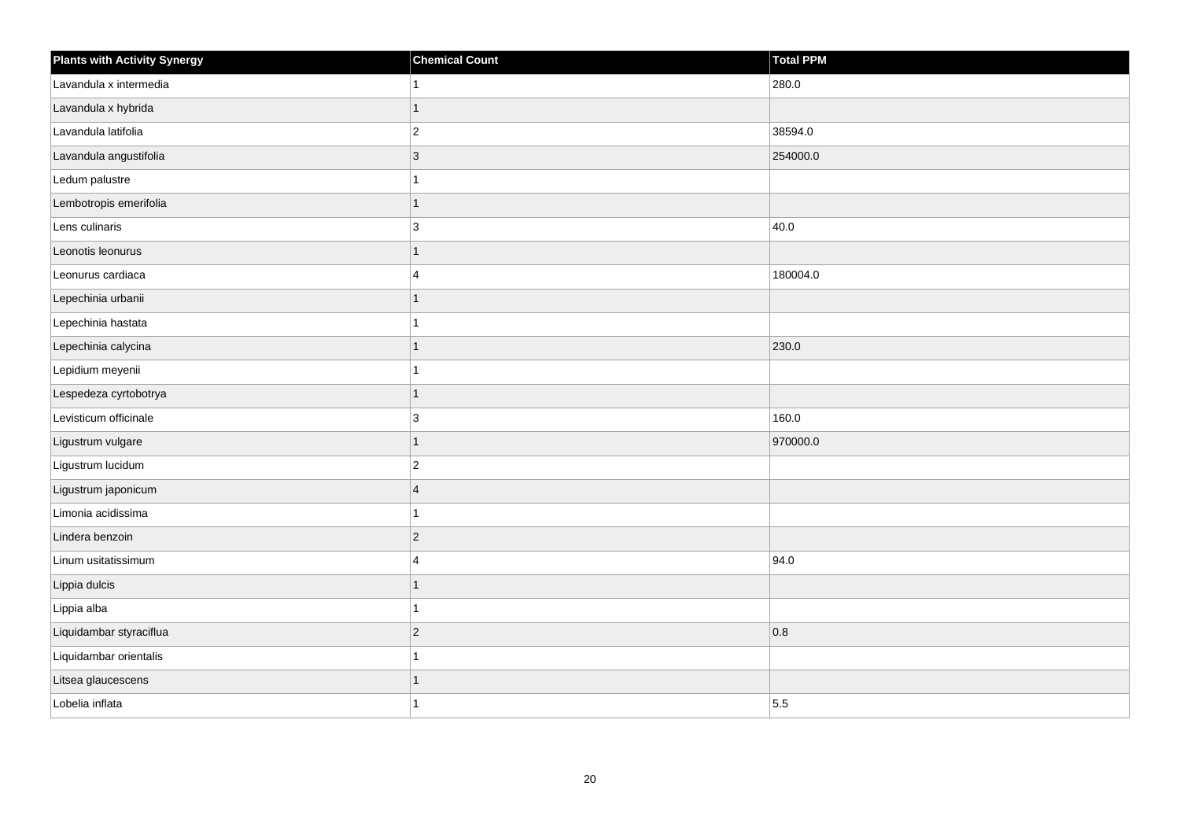| <b>Plants with Activity Synergy</b> | <b>Chemical Count</b> | Total PPM |
|-------------------------------------|-----------------------|-----------|
| Lavandula x intermedia              |                       | 280.0     |
| Lavandula x hybrida                 |                       |           |
| Lavandula latifolia                 | $\overline{c}$        | 38594.0   |
| Lavandula angustifolia              | 3                     | 254000.0  |
| Ledum palustre                      |                       |           |
| Lembotropis emerifolia              | 1                     |           |
| Lens culinaris                      | 3                     | 40.0      |
| Leonotis leonurus                   | 1                     |           |
| Leonurus cardiaca                   | $\boldsymbol{\Delta}$ | 180004.0  |
| Lepechinia urbanii                  |                       |           |
| Lepechinia hastata                  |                       |           |
| Lepechinia calycina                 |                       | 230.0     |
| Lepidium meyenii                    |                       |           |
| Lespedeza cyrtobotrya               | 1                     |           |
| Levisticum officinale               | 3                     | 160.0     |
| Ligustrum vulgare                   | 1                     | 970000.0  |
| Ligustrum lucidum                   | $\overline{c}$        |           |
| Ligustrum japonicum                 | $\boldsymbol{\Delta}$ |           |
| Limonia acidissima                  |                       |           |
| Lindera benzoin                     | $\overline{2}$        |           |
| Linum usitatissimum                 | $\boldsymbol{\Delta}$ | 94.0      |
| Lippia dulcis                       | 1                     |           |
| Lippia alba                         |                       |           |
| Liquidambar styraciflua             | $\overline{c}$        | 0.8       |
| Liquidambar orientalis              |                       |           |
| Litsea glaucescens                  |                       |           |
| Lobelia inflata                     |                       | 5.5       |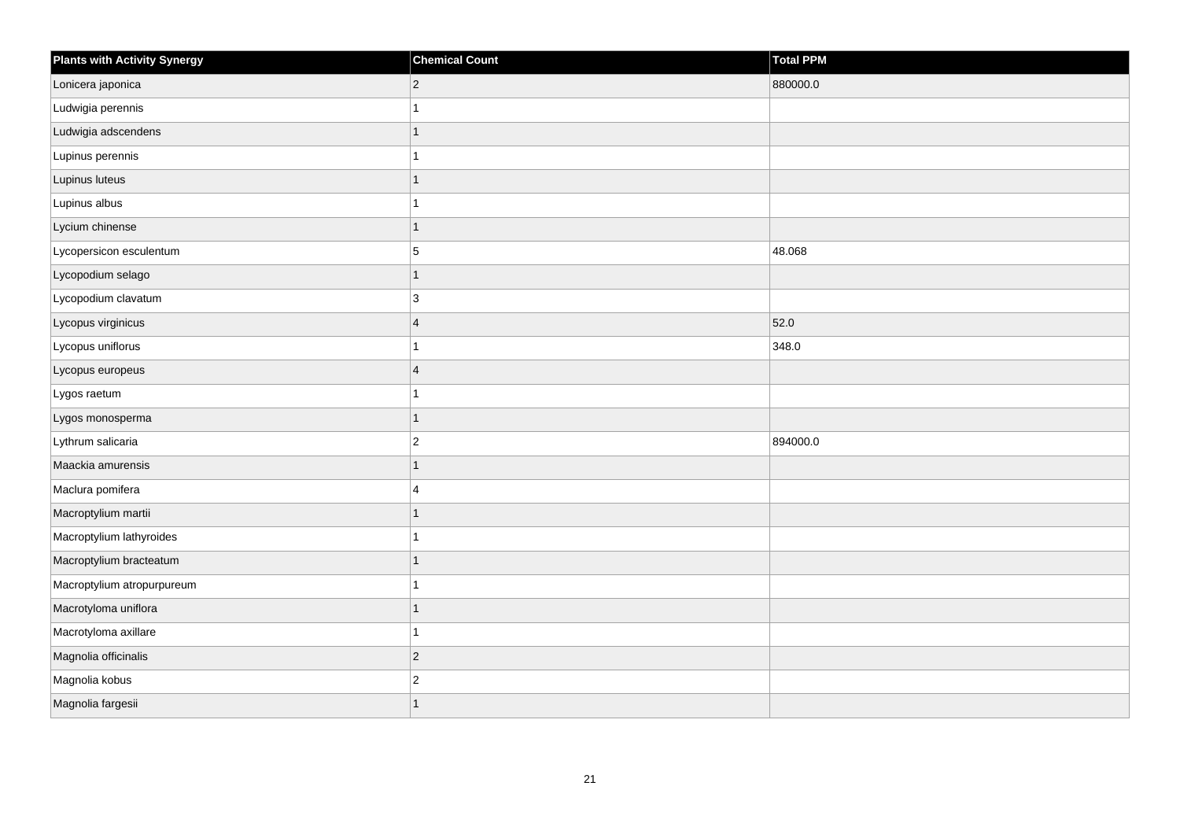| <b>Plants with Activity Synergy</b> | <b>Chemical Count</b> | <b>Total PPM</b> |
|-------------------------------------|-----------------------|------------------|
| Lonicera japonica                   | $ 2\rangle$           | 880000.0         |
| Ludwigia perennis                   | 1                     |                  |
| Ludwigia adscendens                 | $\overline{1}$        |                  |
| Lupinus perennis                    | 1                     |                  |
| Lupinus luteus                      | 1                     |                  |
| Lupinus albus                       | $\mathbf{1}$          |                  |
| Lycium chinense                     | 1                     |                  |
| Lycopersicon esculentum             | 5                     | 48.068           |
| Lycopodium selago                   | $\overline{1}$        |                  |
| Lycopodium clavatum                 | 3                     |                  |
| Lycopus virginicus                  | $\overline{4}$        | 52.0             |
| Lycopus uniflorus                   | $\mathbf{1}$          | 348.0            |
| Lycopus europeus                    | $\overline{4}$        |                  |
| Lygos raetum                        | 1                     |                  |
| Lygos monosperma                    | $\mathbf{1}$          |                  |
| Lythrum salicaria                   | $\vert$ 2             | 894000.0         |
| Maackia amurensis                   | 1                     |                  |
| Maclura pomifera                    | $\overline{4}$        |                  |
| Macroptylium martii                 | $\overline{1}$        |                  |
| Macroptylium lathyroides            | 1                     |                  |
| Macroptylium bracteatum             | 1                     |                  |
| Macroptylium atropurpureum          | $\overline{1}$        |                  |
| Macrotyloma uniflora                | $\mathbf{1}$          |                  |
| Macrotyloma axillare                | 1                     |                  |
| Magnolia officinalis                | $ 2\rangle$           |                  |
| Magnolia kobus                      | $\vert$ 2             |                  |
| Magnolia fargesii                   | 1                     |                  |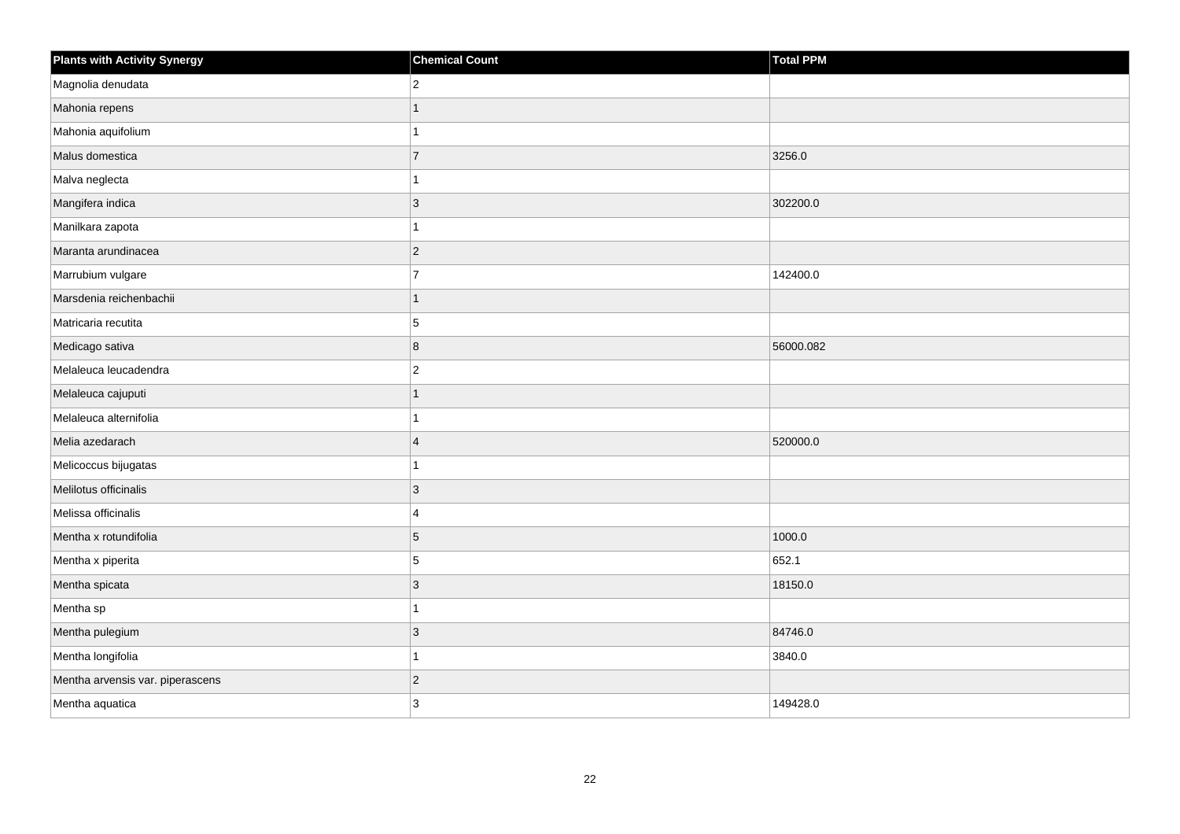| <b>Plants with Activity Synergy</b> | <b>Chemical Count</b> | Total PPM |
|-------------------------------------|-----------------------|-----------|
| Magnolia denudata                   | $\overline{2}$        |           |
| Mahonia repens                      |                       |           |
| Mahonia aquifolium                  |                       |           |
| Malus domestica                     | $\overline{7}$        | 3256.0    |
| Malva neglecta                      |                       |           |
| Mangifera indica                    | 3                     | 302200.0  |
| Manilkara zapota                    |                       |           |
| Maranta arundinacea                 | $\overline{2}$        |           |
| Marrubium vulgare                   | $\overline{7}$        | 142400.0  |
| Marsdenia reichenbachii             | 1                     |           |
| Matricaria recutita                 | 5                     |           |
| Medicago sativa                     | 8                     | 56000.082 |
| Melaleuca leucadendra               | $\overline{2}$        |           |
| Melaleuca cajuputi                  | 1                     |           |
| Melaleuca alternifolia              |                       |           |
| Melia azedarach                     | $\boldsymbol{\Delta}$ | 520000.0  |
| Melicoccus bijugatas                |                       |           |
| Melilotus officinalis               | 3                     |           |
| Melissa officinalis                 | 4                     |           |
| Mentha x rotundifolia               | 5                     | 1000.0    |
| Mentha x piperita                   | 5                     | 652.1     |
| Mentha spicata                      | 3                     | 18150.0   |
| Mentha sp                           |                       |           |
| Mentha pulegium                     | 3                     | 84746.0   |
| Mentha longifolia                   | 1                     | 3840.0    |
| Mentha arvensis var. piperascens    | $\overline{a}$        |           |
| Mentha aquatica                     | 3                     | 149428.0  |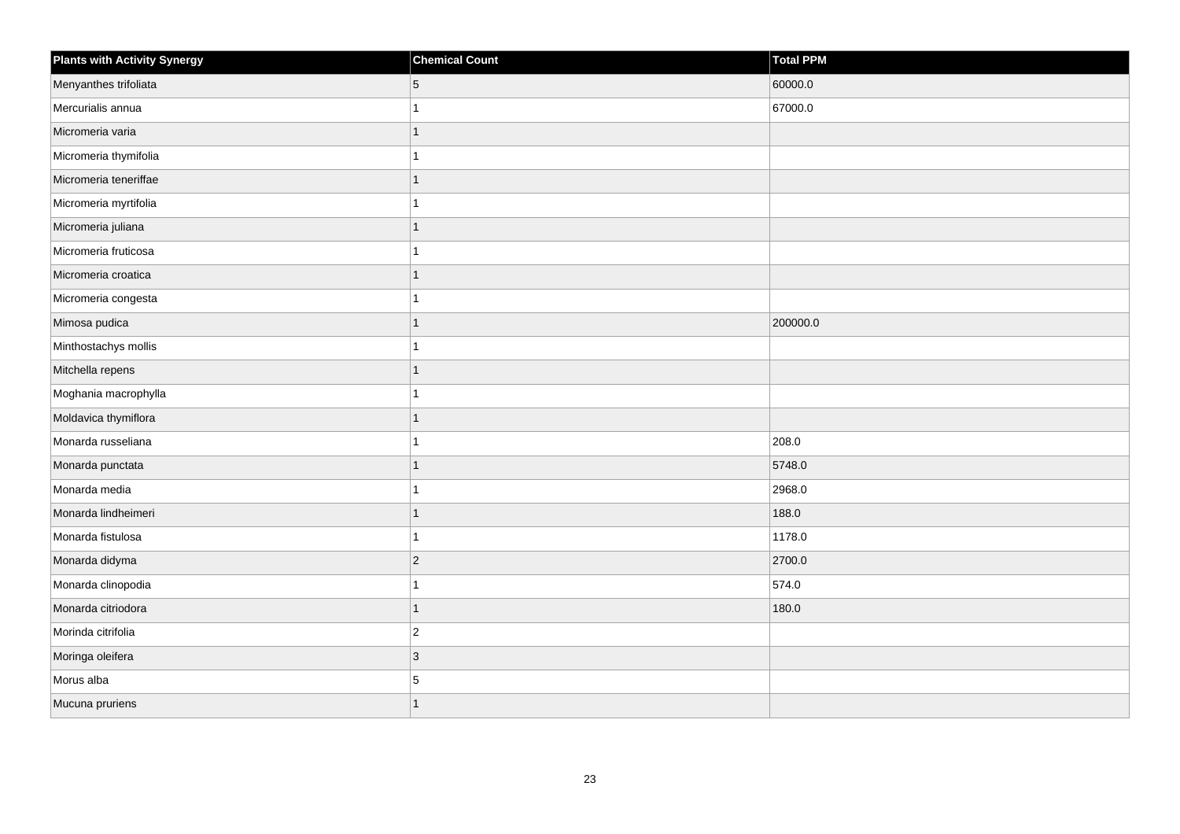| <b>Plants with Activity Synergy</b> | <b>Chemical Count</b> | Total PPM |
|-------------------------------------|-----------------------|-----------|
| Menyanthes trifoliata               | 5                     | 60000.0   |
| Mercurialis annua                   |                       | 67000.0   |
| Micromeria varia                    |                       |           |
| Micromeria thymifolia               |                       |           |
| Micromeria teneriffae               |                       |           |
| Micromeria myrtifolia               |                       |           |
| Micromeria juliana                  |                       |           |
| Micromeria fruticosa                |                       |           |
| Micromeria croatica                 |                       |           |
| Micromeria congesta                 |                       |           |
| Mimosa pudica                       |                       | 200000.0  |
| Minthostachys mollis                |                       |           |
| Mitchella repens                    | 1                     |           |
| Moghania macrophylla                |                       |           |
| Moldavica thymiflora                |                       |           |
| Monarda russeliana                  |                       | 208.0     |
| Monarda punctata                    |                       | 5748.0    |
| Monarda media                       |                       | 2968.0    |
| Monarda lindheimeri                 | 1                     | 188.0     |
| Monarda fistulosa                   |                       | 1178.0    |
| Monarda didyma                      | $\overline{2}$        | 2700.0    |
| Monarda clinopodia                  |                       | 574.0     |
| Monarda citriodora                  |                       | 180.0     |
| Morinda citrifolia                  | $\overline{2}$        |           |
| Moringa oleifera                    | $\overline{3}$        |           |
| Morus alba                          | 5                     |           |
| Mucuna pruriens                     | 1                     |           |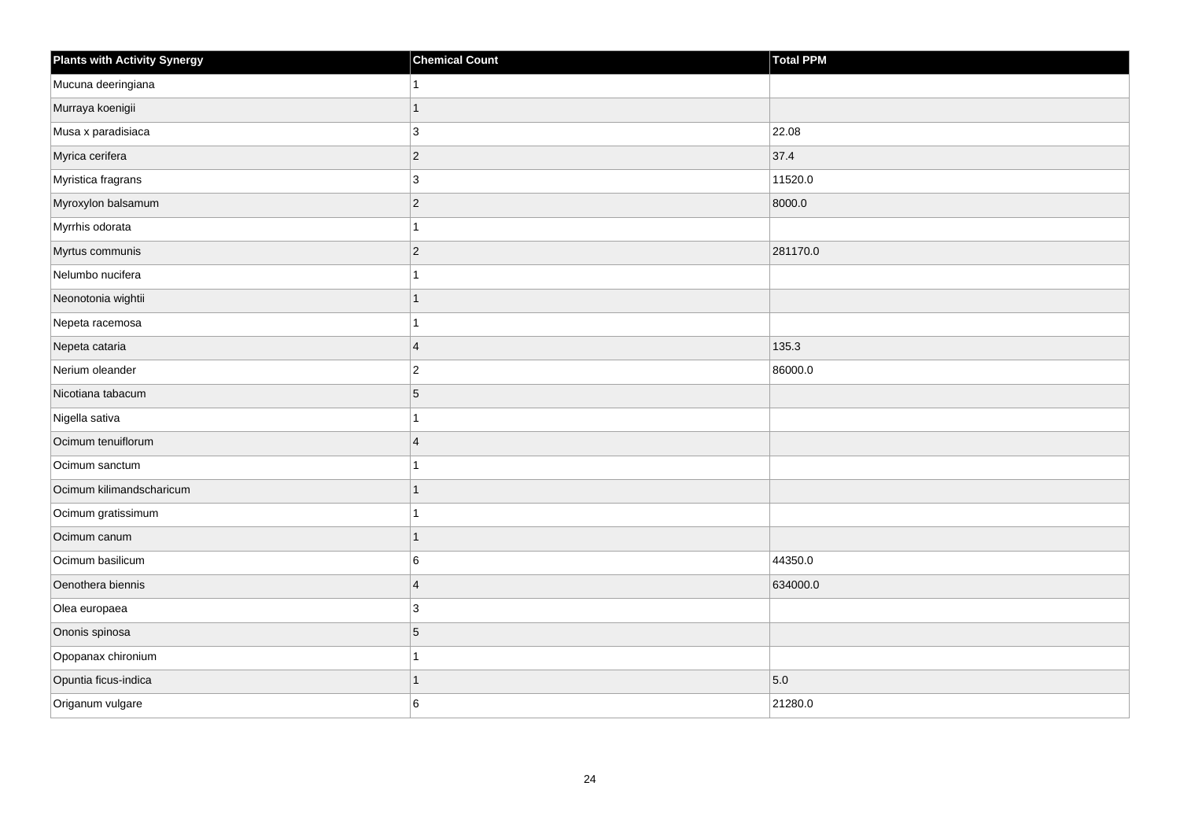| <b>Plants with Activity Synergy</b> | <b>Chemical Count</b> | <b>Total PPM</b> |
|-------------------------------------|-----------------------|------------------|
| Mucuna deeringiana                  | 1                     |                  |
| Murraya koenigii                    | 1                     |                  |
| Musa x paradisiaca                  | 3                     | 22.08            |
| Myrica cerifera                     | $\overline{c}$        | 37.4             |
| Myristica fragrans                  | 3                     | 11520.0          |
| Myroxylon balsamum                  | $\overline{2}$        | 8000.0           |
| Myrrhis odorata                     | 1                     |                  |
| Myrtus communis                     | $\overline{2}$        | 281170.0         |
| Nelumbo nucifera                    | 1                     |                  |
| Neonotonia wightii                  | $\mathbf{1}$          |                  |
| Nepeta racemosa                     |                       |                  |
| Nepeta cataria                      | $\overline{4}$        | 135.3            |
| Nerium oleander                     | $\overline{2}$        | 86000.0          |
| Nicotiana tabacum                   | 5                     |                  |
| Nigella sativa                      | 1                     |                  |
| Ocimum tenuiflorum                  | $\overline{4}$        |                  |
| Ocimum sanctum                      |                       |                  |
| Ocimum kilimandscharicum            | $\overline{1}$        |                  |
| Ocimum gratissimum                  | 1                     |                  |
| Ocimum canum                        | 1                     |                  |
| Ocimum basilicum                    | 6                     | 44350.0          |
| Oenothera biennis                   | $\overline{4}$        | 634000.0         |
| Olea europaea                       | 3                     |                  |
| Ononis spinosa                      | 5                     |                  |
| Opopanax chironium                  | 1                     |                  |
| Opuntia ficus-indica                | 1                     | 5.0              |
| Origanum vulgare                    | 6                     | 21280.0          |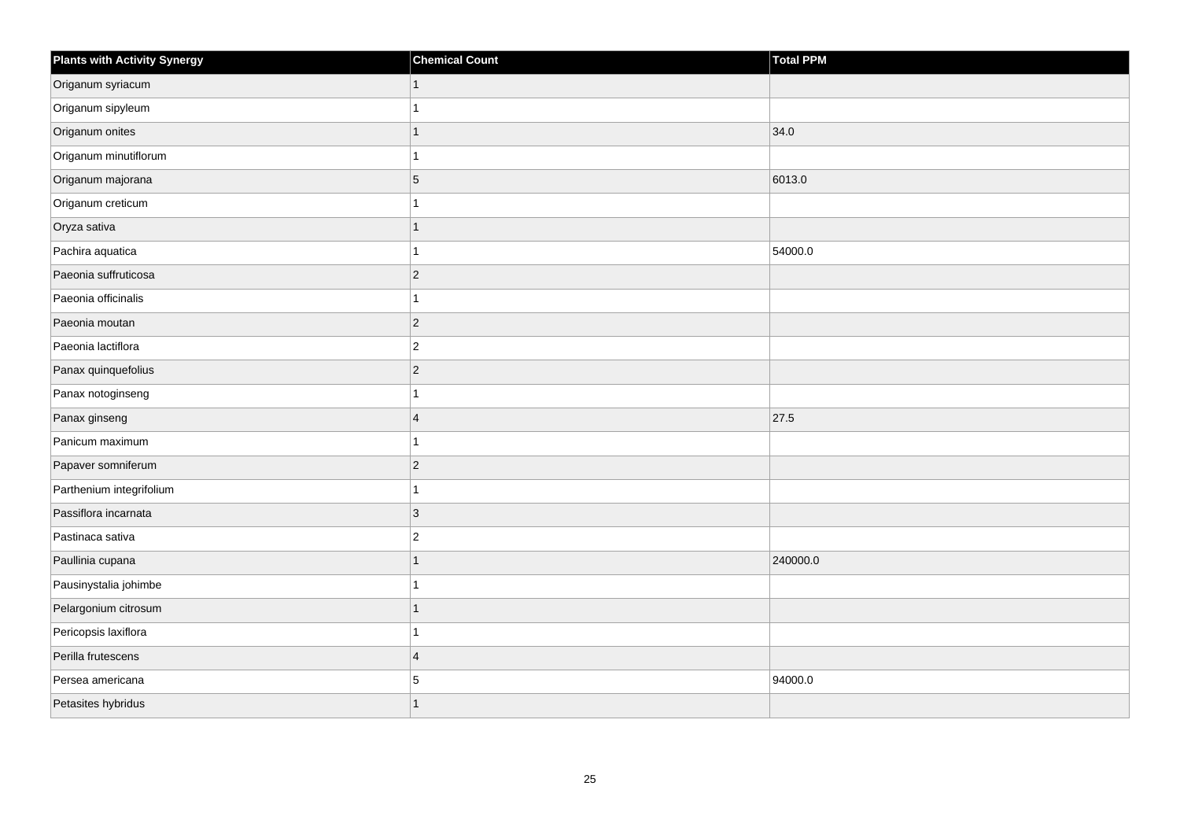| <b>Plants with Activity Synergy</b> | <b>Chemical Count</b>    | Total PPM |
|-------------------------------------|--------------------------|-----------|
| Origanum syriacum                   | 1                        |           |
| Origanum sipyleum                   |                          |           |
| Origanum onites                     | 1                        | 34.0      |
| Origanum minutiflorum               |                          |           |
| Origanum majorana                   | 5                        | 6013.0    |
| Origanum creticum                   |                          |           |
| Oryza sativa                        | 1                        |           |
| Pachira aquatica                    |                          | 54000.0   |
| Paeonia suffruticosa                | $\overline{c}$           |           |
| Paeonia officinalis                 | 1                        |           |
| Paeonia moutan                      | $\overline{2}$           |           |
| Paeonia lactiflora                  | $\overline{c}$           |           |
| Panax quinquefolius                 | $\overline{2}$           |           |
| Panax notoginseng                   |                          |           |
| Panax ginseng                       | $\overline{4}$           | 27.5      |
| Panicum maximum                     | 4                        |           |
| Papaver somniferum                  | $\overline{2}$           |           |
| Parthenium integrifolium            |                          |           |
| Passiflora incarnata                | 3                        |           |
| Pastinaca sativa                    | $\overline{2}$           |           |
| Paullinia cupana                    | $\overline{\phantom{a}}$ | 240000.0  |
| Pausinystalia johimbe               | 1                        |           |
| Pelargonium citrosum                | 1                        |           |
| Pericopsis laxiflora                |                          |           |
| Perilla frutescens                  | $\overline{4}$           |           |
| Persea americana                    | 5                        | 94000.0   |
| Petasites hybridus                  | 1                        |           |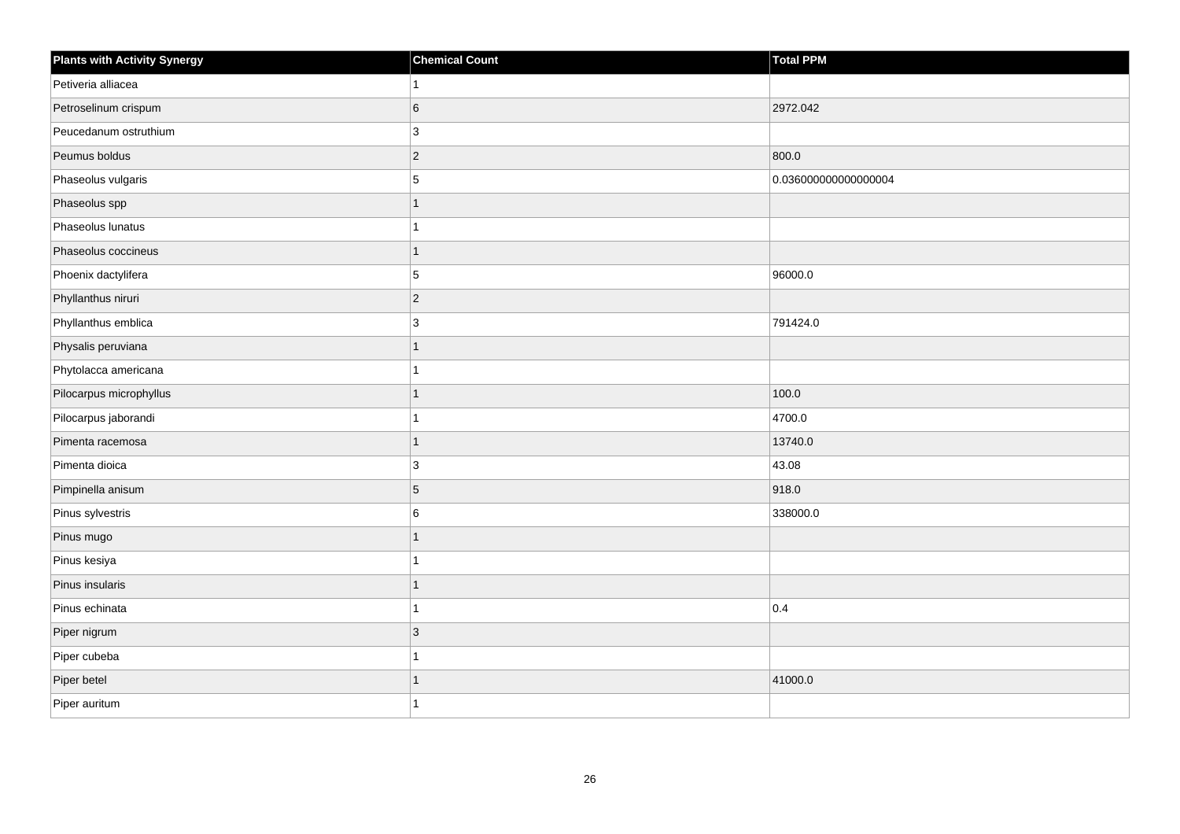| <b>Plants with Activity Synergy</b> | <b>Chemical Count</b> | <b>Total PPM</b>     |
|-------------------------------------|-----------------------|----------------------|
| Petiveria alliacea                  | $\mathbf{1}$          |                      |
| Petroselinum crispum                | $\,6$                 | 2972.042             |
| Peucedanum ostruthium               | $\mathbf{3}$          |                      |
| Peumus boldus                       | $\vert$ 2             | 800.0                |
| Phaseolus vulgaris                  | 5                     | 0.036000000000000004 |
| Phaseolus spp                       | $\overline{1}$        |                      |
| Phaseolus lunatus                   | $\mathbf{1}$          |                      |
| Phaseolus coccineus                 | $\mathbf{1}$          |                      |
| Phoenix dactylifera                 | 5                     | 96000.0              |
| Phyllanthus niruri                  | $\vert$ 2             |                      |
| Phyllanthus emblica                 | 3                     | 791424.0             |
| Physalis peruviana                  | $\mathbf{1}$          |                      |
| Phytolacca americana                | $\mathbf{1}$          |                      |
| Pilocarpus microphyllus             | $\mathbf{1}$          | 100.0                |
| Pilocarpus jaborandi                | $\mathbf{1}$          | 4700.0               |
| Pimenta racemosa                    | $\mathbf{1}$          | 13740.0              |
| Pimenta dioica                      | 3                     | 43.08                |
| Pimpinella anisum                   | 5                     | 918.0                |
| Pinus sylvestris                    | 6                     | 338000.0             |
| Pinus mugo                          | $\mathbf{1}$          |                      |
| Pinus kesiya                        | $\overline{1}$        |                      |
| Pinus insularis                     | $\mathbf{1}$          |                      |
| Pinus echinata                      | $\mathbf{1}$          | 0.4                  |
| Piper nigrum                        | $\mathbf{3}$          |                      |
| Piper cubeba                        | $\mathbf{1}$          |                      |
| Piper betel                         | $\mathbf{1}$          | 41000.0              |
| Piper auritum                       | $\mathbf{1}$          |                      |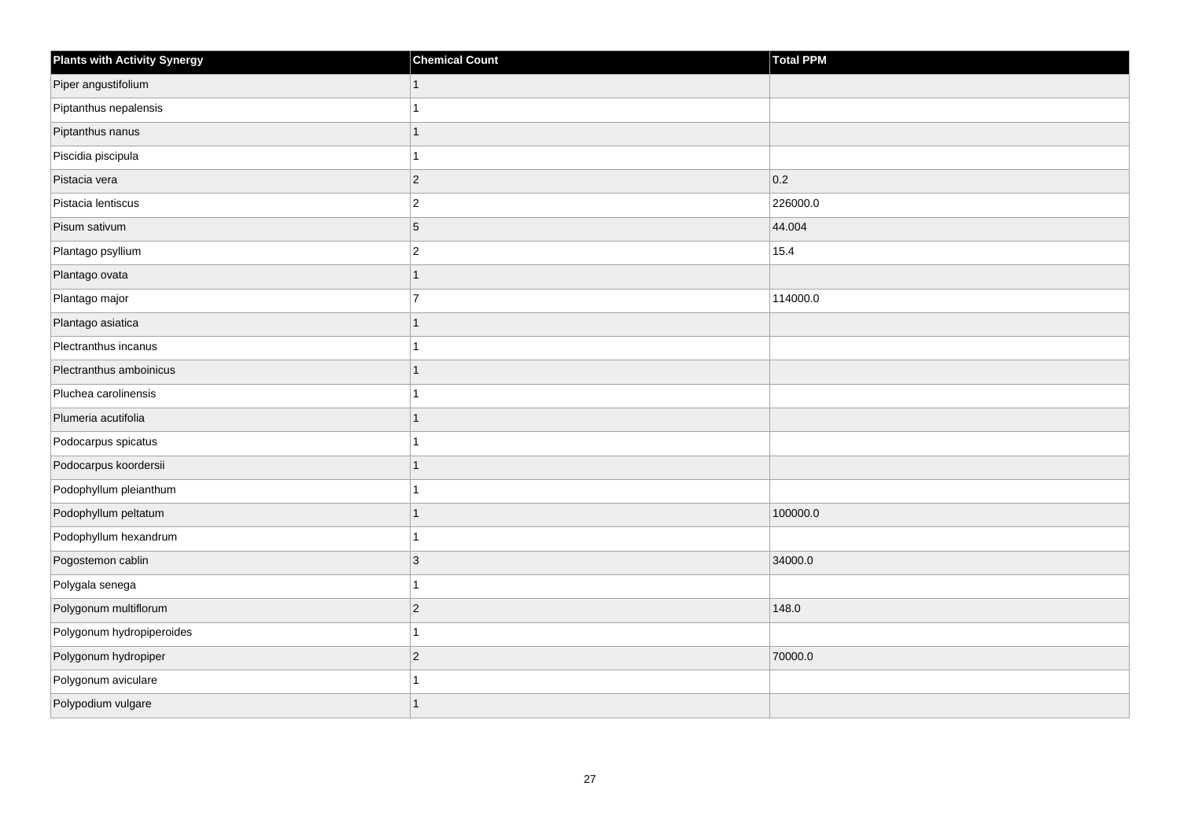| <b>Plants with Activity Synergy</b> | <b>Chemical Count</b> | <b>Total PPM</b> |
|-------------------------------------|-----------------------|------------------|
| Piper angustifolium                 |                       |                  |
| Piptanthus nepalensis               |                       |                  |
| Piptanthus nanus                    | 1                     |                  |
| Piscidia piscipula                  |                       |                  |
| Pistacia vera                       | $\overline{2}$        | 0.2              |
| Pistacia lentiscus                  | $\overline{c}$        | 226000.0         |
| Pisum sativum                       | 5                     | 44.004           |
| Plantago psyllium                   | $\overline{c}$        | 15.4             |
| Plantago ovata                      | 1                     |                  |
| Plantago major                      | $\overline{7}$        | 114000.0         |
| Plantago asiatica                   |                       |                  |
| Plectranthus incanus                |                       |                  |
| Plectranthus amboinicus             | 1                     |                  |
| Pluchea carolinensis                |                       |                  |
| Plumeria acutifolia                 |                       |                  |
| Podocarpus spicatus                 |                       |                  |
| Podocarpus koordersii               |                       |                  |
| Podophyllum pleianthum              |                       |                  |
| Podophyllum peltatum                | 1                     | 100000.0         |
| Podophyllum hexandrum               |                       |                  |
| Pogostemon cablin                   | 3                     | 34000.0          |
| Polygala senega                     | 1                     |                  |
| Polygonum multiflorum               | $\overline{2}$        | 148.0            |
| Polygonum hydropiperoides           |                       |                  |
| Polygonum hydropiper                | $\overline{c}$        | 70000.0          |
| Polygonum aviculare                 |                       |                  |
| Polypodium vulgare                  |                       |                  |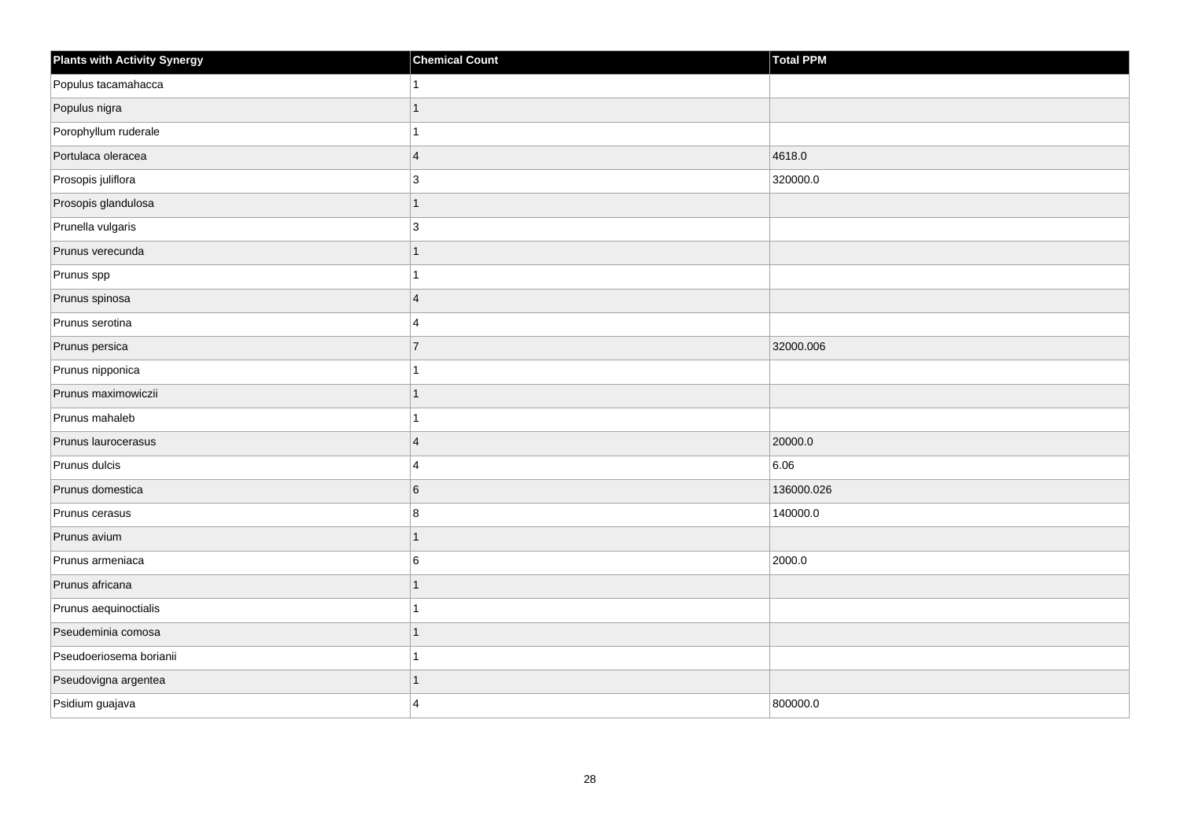| <b>Plants with Activity Synergy</b> | <b>Chemical Count</b> | Total PPM  |
|-------------------------------------|-----------------------|------------|
| Populus tacamahacca                 |                       |            |
| Populus nigra                       |                       |            |
| Porophyllum ruderale                |                       |            |
| Portulaca oleracea                  | $\overline{4}$        | 4618.0     |
| Prosopis juliflora                  | 3                     | 320000.0   |
| Prosopis glandulosa                 | 1                     |            |
| Prunella vulgaris                   | 3                     |            |
| Prunus verecunda                    | 1                     |            |
| Prunus spp                          |                       |            |
| Prunus spinosa                      | $\overline{4}$        |            |
| Prunus serotina                     | 4                     |            |
| Prunus persica                      | $\overline{7}$        | 32000.006  |
| Prunus nipponica                    |                       |            |
| Prunus maximowiczii                 | 1                     |            |
| Prunus mahaleb                      |                       |            |
| Prunus laurocerasus                 | $\overline{4}$        | 20000.0    |
| Prunus dulcis                       | 4                     | 6.06       |
| Prunus domestica                    | 6                     | 136000.026 |
| Prunus cerasus                      | 8                     | 140000.0   |
| Prunus avium                        |                       |            |
| Prunus armeniaca                    | 6                     | 2000.0     |
| Prunus africana                     | 1                     |            |
| Prunus aequinoctialis               |                       |            |
| Pseudeminia comosa                  |                       |            |
| Pseudoeriosema borianii             |                       |            |
| Pseudovigna argentea                |                       |            |
| Psidium guajava                     | 4                     | 800000.0   |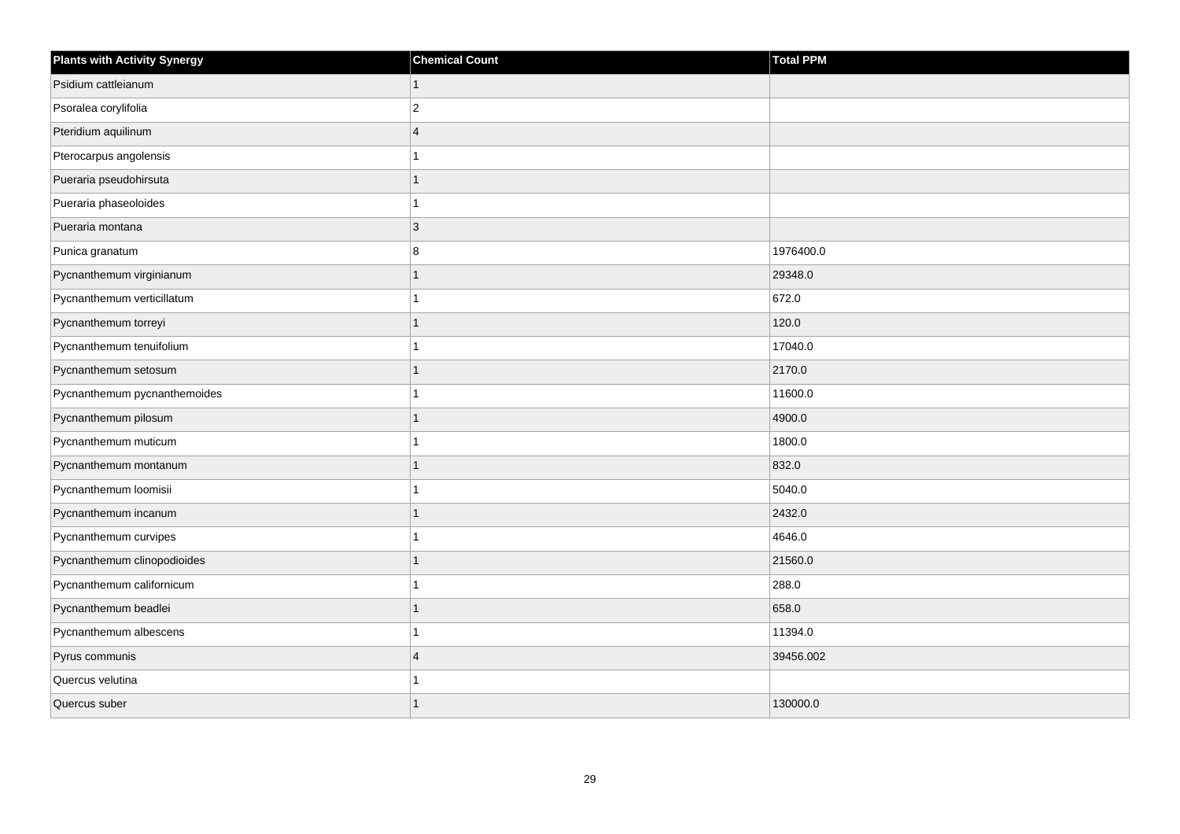| <b>Plants with Activity Synergy</b> | <b>Chemical Count</b>   | <b>Total PPM</b> |
|-------------------------------------|-------------------------|------------------|
| Psidium cattleianum                 | $\mathbf{1}$            |                  |
| Psoralea corylifolia                | $\overline{\mathbf{c}}$ |                  |
| Pteridium aquilinum                 | $\boldsymbol{\Delta}$   |                  |
| Pterocarpus angolensis              |                         |                  |
| Pueraria pseudohirsuta              | 1                       |                  |
| Pueraria phaseoloides               | 1                       |                  |
| Pueraria montana                    | 3                       |                  |
| Punica granatum                     | 8                       | 1976400.0        |
| Pycnanthemum virginianum            | $\overline{ }$          | 29348.0          |
| Pycnanthemum verticillatum          | 1                       | 672.0            |
| Pycnanthemum torreyi                | 1                       | 120.0            |
| Pycnanthemum tenuifolium            |                         | 17040.0          |
| Pycnanthemum setosum                | 1                       | 2170.0           |
| Pycnanthemum pycnanthemoides        |                         | 11600.0          |
| Pycnanthemum pilosum                |                         | 4900.0           |
| Pycnanthemum muticum                | 1                       | 1800.0           |
| Pycnanthemum montanum               | 1                       | 832.0            |
| Pycnanthemum loomisii               |                         | 5040.0           |
| Pycnanthemum incanum                | 1                       | 2432.0           |
| Pycnanthemum curvipes               |                         | 4646.0           |
| Pycnanthemum clinopodioides         |                         | 21560.0          |
| Pycnanthemum californicum           | 1                       | 288.0            |
| Pycnanthemum beadlei                | 1                       | 658.0            |
| Pycnanthemum albescens              |                         | 11394.0          |
| Pyrus communis                      | $\overline{4}$          | 39456.002        |
| Quercus velutina                    |                         |                  |
| Quercus suber                       |                         | 130000.0         |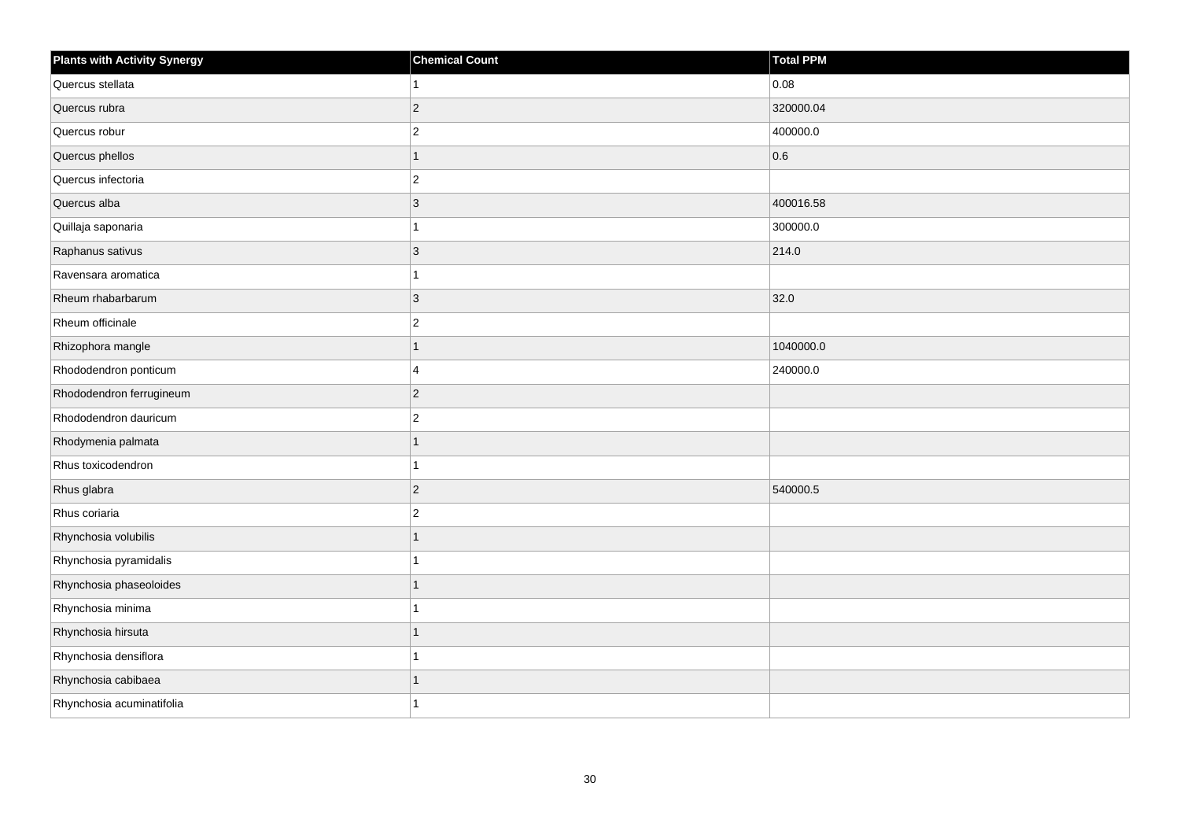| <b>Plants with Activity Synergy</b> | <b>Chemical Count</b> | <b>Total PPM</b> |
|-------------------------------------|-----------------------|------------------|
| Quercus stellata                    |                       | 0.08             |
| Quercus rubra                       | $\overline{2}$        | 320000.04        |
| Quercus robur                       | $\overline{2}$        | 400000.0         |
| Quercus phellos                     | 1                     | 0.6              |
| Quercus infectoria                  | $\overline{c}$        |                  |
| Quercus alba                        | 3                     | 400016.58        |
| Quillaja saponaria                  |                       | 300000.0         |
| Raphanus sativus                    | 3                     | 214.0            |
| Ravensara aromatica                 |                       |                  |
| Rheum rhabarbarum                   | $\overline{3}$        | 32.0             |
| Rheum officinale                    | $\overline{2}$        |                  |
| Rhizophora mangle                   |                       | 1040000.0        |
| Rhododendron ponticum               | 4                     | 240000.0         |
| Rhododendron ferrugineum            | $\overline{2}$        |                  |
| Rhododendron dauricum               | $\overline{c}$        |                  |
| Rhodymenia palmata                  | 1                     |                  |
| Rhus toxicodendron                  |                       |                  |
| Rhus glabra                         | $\overline{2}$        | 540000.5         |
| Rhus coriaria                       | $\overline{c}$        |                  |
| Rhynchosia volubilis                |                       |                  |
| Rhynchosia pyramidalis              |                       |                  |
| Rhynchosia phaseoloides             | 1                     |                  |
| Rhynchosia minima                   |                       |                  |
| Rhynchosia hirsuta                  |                       |                  |
| Rhynchosia densiflora               |                       |                  |
| Rhynchosia cabibaea                 |                       |                  |
| Rhynchosia acuminatifolia           |                       |                  |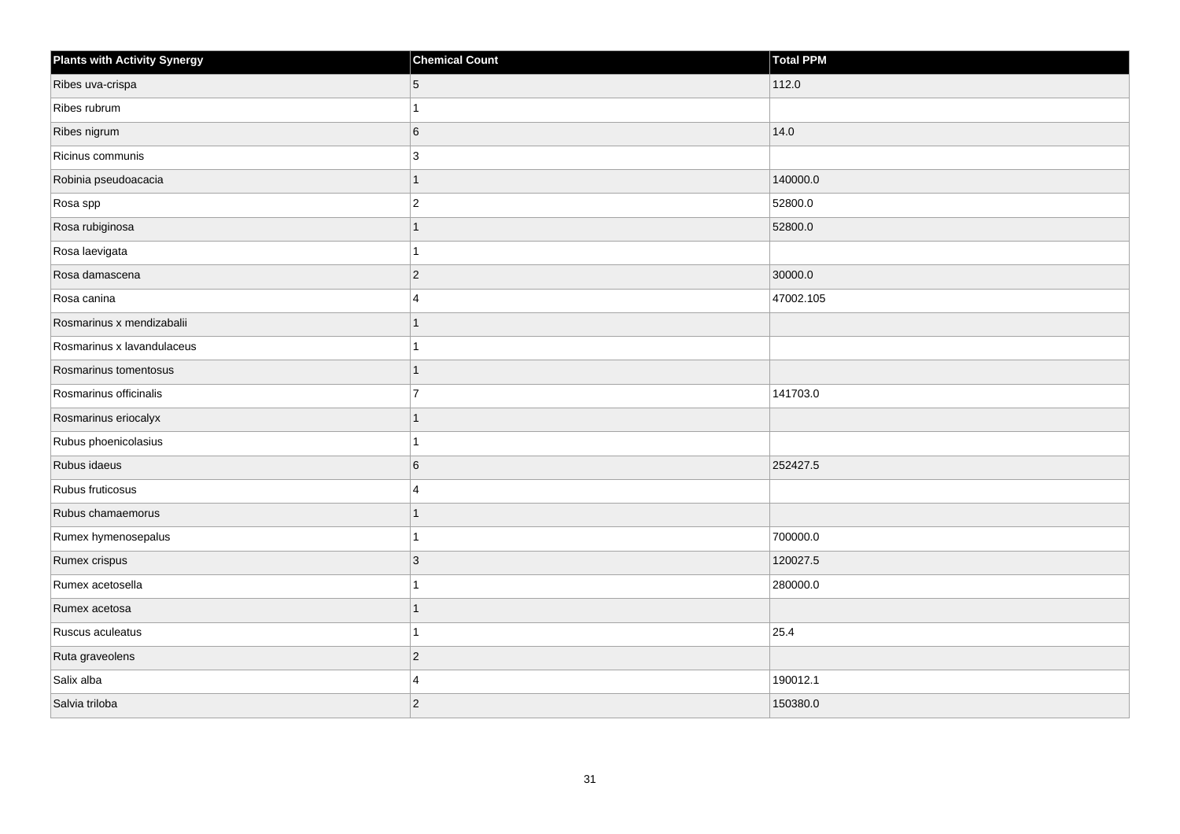| <b>Plants with Activity Synergy</b> | <b>Chemical Count</b> | Total PPM |
|-------------------------------------|-----------------------|-----------|
| Ribes uva-crispa                    | 5                     | 112.0     |
| Ribes rubrum                        |                       |           |
| Ribes nigrum                        | 6                     | 14.0      |
| Ricinus communis                    | 3                     |           |
| Robinia pseudoacacia                |                       | 140000.0  |
| Rosa spp                            | $\overline{2}$        | 52800.0   |
| Rosa rubiginosa                     | 1                     | 52800.0   |
| Rosa laevigata                      |                       |           |
| Rosa damascena                      | $\overline{2}$        | 30000.0   |
| Rosa canina                         | 4                     | 47002.105 |
| Rosmarinus x mendizabalii           |                       |           |
| Rosmarinus x lavandulaceus          |                       |           |
| Rosmarinus tomentosus               | 1                     |           |
| Rosmarinus officinalis              | $\overline{7}$        | 141703.0  |
| Rosmarinus eriocalyx                |                       |           |
| Rubus phoenicolasius                |                       |           |
| Rubus idaeus                        | 6                     | 252427.5  |
| Rubus fruticosus                    | $\Delta$              |           |
| Rubus chamaemorus                   | 1                     |           |
| Rumex hymenosepalus                 |                       | 700000.0  |
| Rumex crispus                       | 3                     | 120027.5  |
| Rumex acetosella                    |                       | 280000.0  |
| Rumex acetosa                       |                       |           |
| Ruscus aculeatus                    |                       | 25.4      |
| Ruta graveolens                     | $\overline{2}$        |           |
| Salix alba                          | $\boldsymbol{\Delta}$ | 190012.1  |
| Salvia triloba                      | $\overline{2}$        | 150380.0  |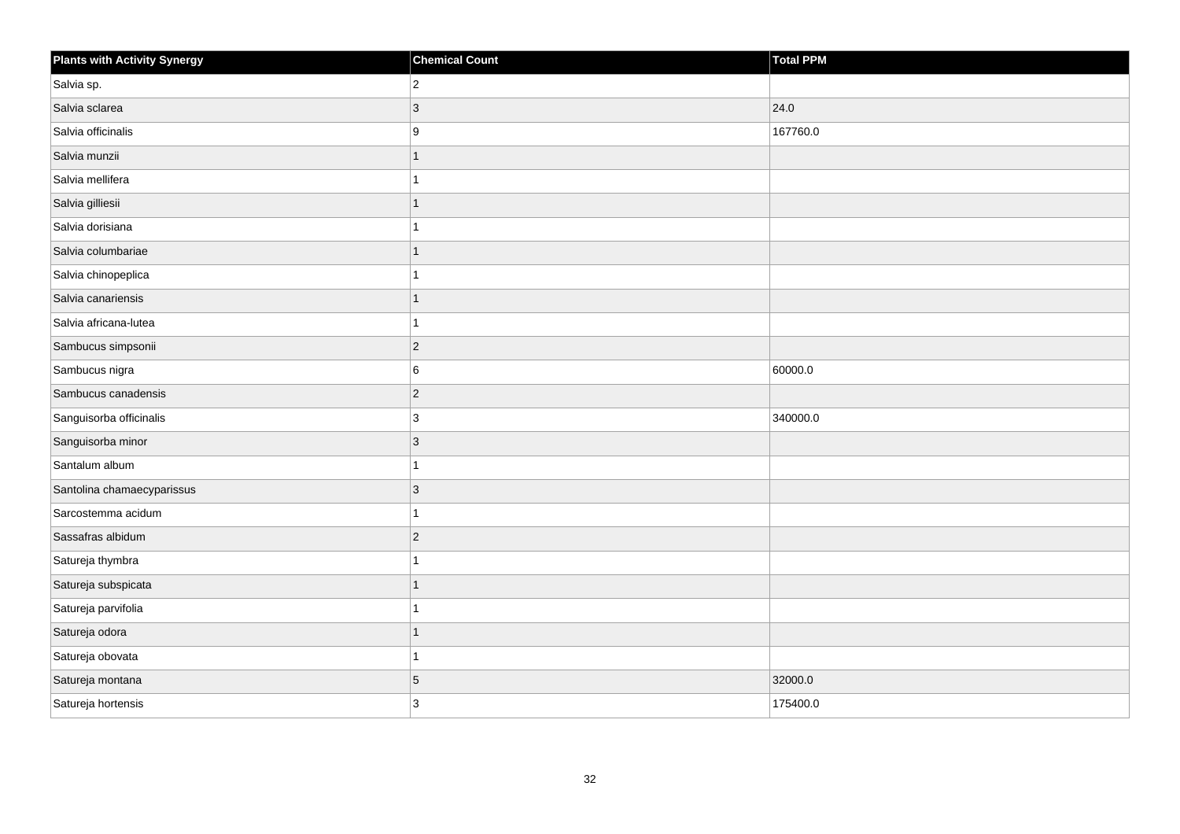| Plants with Activity Synergy | <b>Chemical Count</b> | Total PPM |
|------------------------------|-----------------------|-----------|
| Salvia sp.                   | $\overline{2}$        |           |
| Salvia sclarea               | 3                     | 24.0      |
| Salvia officinalis           | 9                     | 167760.0  |
| Salvia munzii                | $\mathbf{1}$          |           |
| Salvia mellifera             | 1                     |           |
| Salvia gilliesii             | 1                     |           |
| Salvia dorisiana             | 1                     |           |
| Salvia columbariae           | 1                     |           |
| Salvia chinopeplica          | 1                     |           |
| Salvia canariensis           | 1                     |           |
| Salvia africana-lutea        | 1                     |           |
| Sambucus simpsonii           | $ 2\rangle$           |           |
| Sambucus nigra               | 6                     | 60000.0   |
| Sambucus canadensis          | $ 2\rangle$           |           |
| Sanguisorba officinalis      | $\vert$ 3             | 340000.0  |
| Sanguisorba minor            | $ 3\rangle$           |           |
| Santalum album               | 1                     |           |
| Santolina chamaecyparissus   | 3                     |           |
| Sarcostemma acidum           | $\mathbf{1}$          |           |
| Sassafras albidum            | $ 2\rangle$           |           |
| Satureja thymbra             | 1                     |           |
| Satureja subspicata          | $\overline{1}$        |           |
| Satureja parvifolia          | 1                     |           |
| Satureja odora               | 1                     |           |
| Satureja obovata             | $\mathbf{1}$          |           |
| Satureja montana             | 5                     | 32000.0   |
| Satureja hortensis           | 3                     | 175400.0  |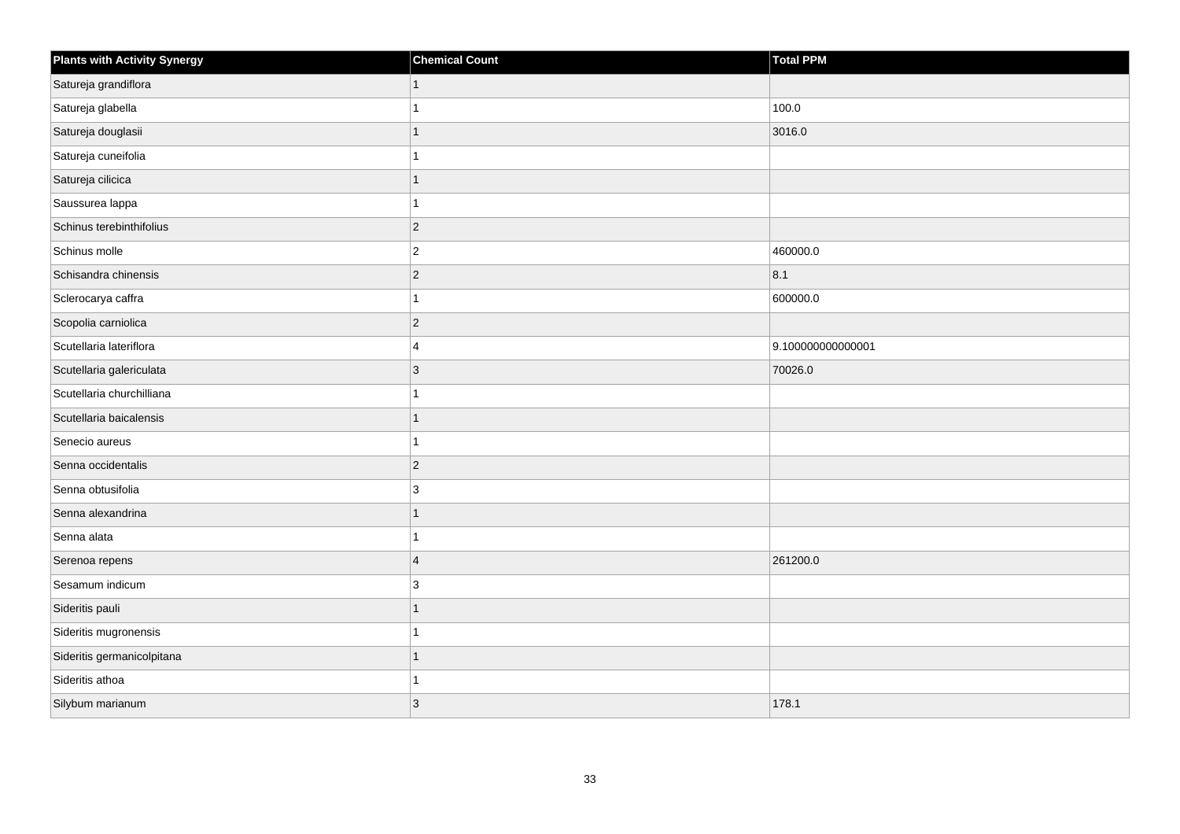| <b>Plants with Activity Synergy</b> | <b>Chemical Count</b>   | Total PPM         |
|-------------------------------------|-------------------------|-------------------|
| Satureja grandiflora                |                         |                   |
| Satureja glabella                   |                         | 100.0             |
| Satureja douglasii                  |                         | 3016.0            |
| Satureja cuneifolia                 |                         |                   |
| Satureja cilicica                   |                         |                   |
| Saussurea lappa                     |                         |                   |
| Schinus terebinthifolius            | $\overline{2}$          |                   |
| Schinus molle                       | $\overline{c}$          | 460000.0          |
| Schisandra chinensis                | $\overline{2}$          | 8.1               |
| Sclerocarya caffra                  |                         | 600000.0          |
| Scopolia carniolica                 | $\overline{2}$          |                   |
| Scutellaria lateriflora             | 4                       | 9.100000000000001 |
| Scutellaria galericulata            | 3                       | 70026.0           |
| Scutellaria churchilliana           |                         |                   |
| Scutellaria baicalensis             |                         |                   |
| Senecio aureus                      |                         |                   |
| Senna occidentalis                  | $\overline{2}$          |                   |
| Senna obtusifolia                   | 3                       |                   |
| Senna alexandrina                   | 1                       |                   |
| Senna alata                         |                         |                   |
| Serenoa repens                      | $\overline{\mathbf{4}}$ | 261200.0          |
| Sesamum indicum                     | 3                       |                   |
| Sideritis pauli                     |                         |                   |
| Sideritis mugronensis               |                         |                   |
| Sideritis germanicolpitana          | 1                       |                   |
| Sideritis athoa                     |                         |                   |
| Silybum marianum                    | 3                       | 178.1             |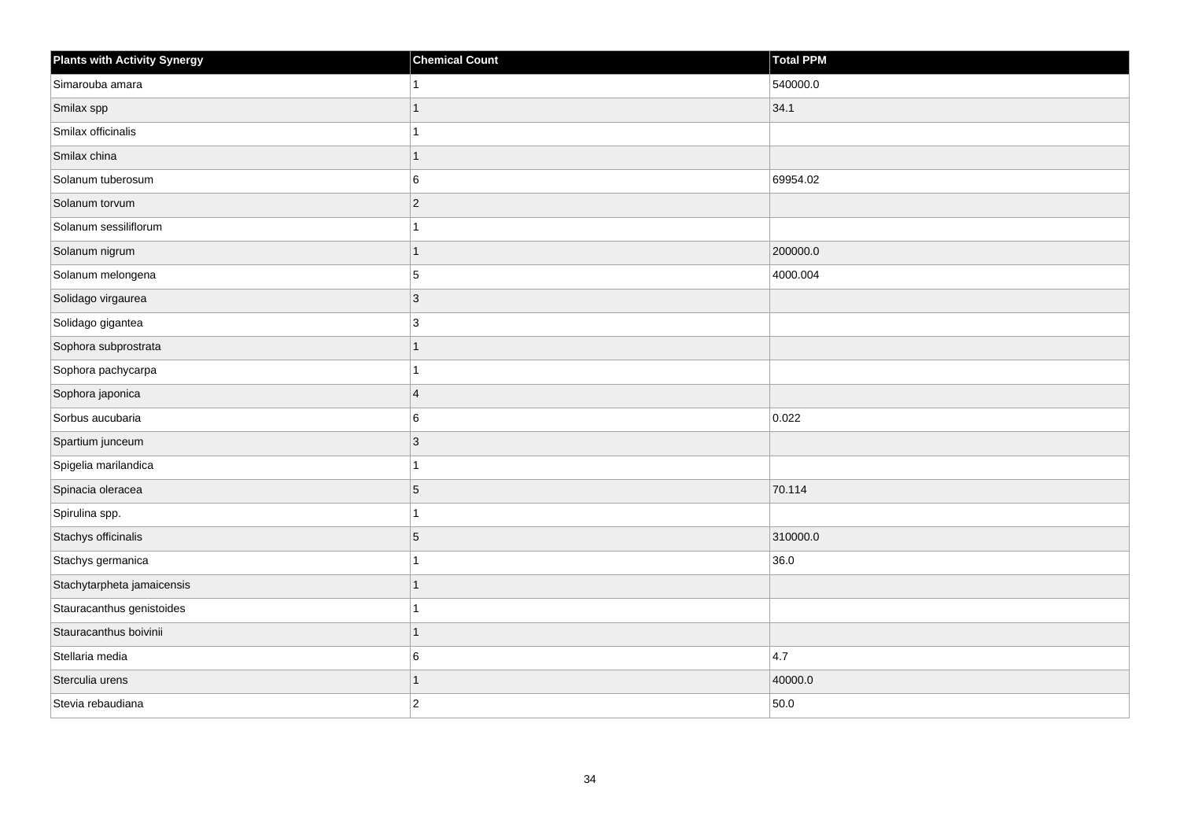| <b>Plants with Activity Synergy</b> | <b>Chemical Count</b> | <b>Total PPM</b> |
|-------------------------------------|-----------------------|------------------|
| Simarouba amara                     |                       | 540000.0         |
| Smilax spp                          | 1                     | 34.1             |
| Smilax officinalis                  |                       |                  |
| Smilax china                        |                       |                  |
| Solanum tuberosum                   | 6                     | 69954.02         |
| Solanum torvum                      | $ 2\rangle$           |                  |
| Solanum sessiliflorum               |                       |                  |
| Solanum nigrum                      | 1                     | 200000.0         |
| Solanum melongena                   | 5                     | 4000.004         |
| Solidago virgaurea                  | $\vert$ 3             |                  |
| Solidago gigantea                   | $\mathbf{3}$          |                  |
| Sophora subprostrata                |                       |                  |
| Sophora pachycarpa                  |                       |                  |
| Sophora japonica                    | $\overline{4}$        |                  |
| Sorbus aucubaria                    | $\,6$                 | 0.022            |
| Spartium junceum                    | $\vert$ 3             |                  |
| Spigelia marilandica                |                       |                  |
| Spinacia oleracea                   | $\overline{5}$        | 70.114           |
| Spirulina spp.                      | 1                     |                  |
| Stachys officinalis                 | $\overline{5}$        | 310000.0         |
| Stachys germanica                   |                       | 36.0             |
| Stachytarpheta jamaicensis          | 1                     |                  |
| Stauracanthus genistoides           |                       |                  |
| Stauracanthus boivinii              |                       |                  |
| Stellaria media                     | 6                     | 4.7              |
| Sterculia urens                     |                       | 40000.0          |
| Stevia rebaudiana                   | $\overline{2}$        | 50.0             |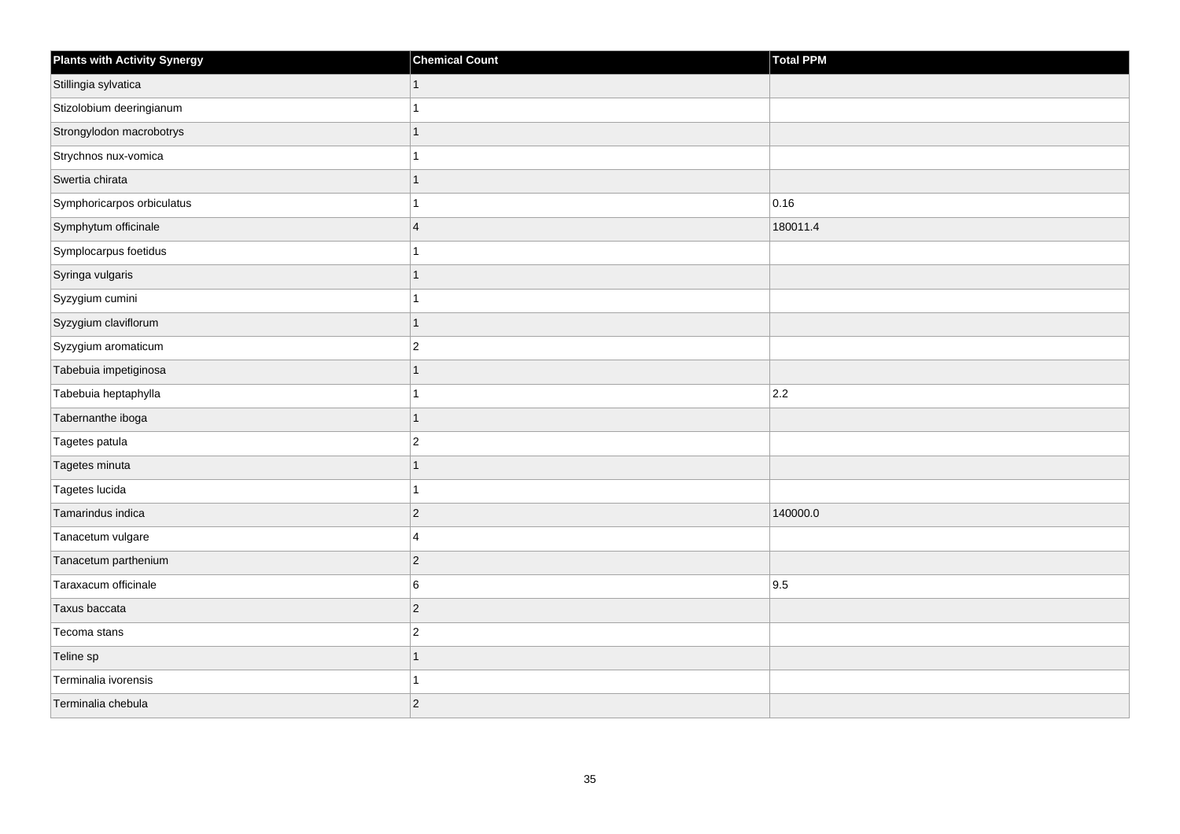| <b>Plants with Activity Synergy</b> | <b>Chemical Count</b>   | Total PPM |
|-------------------------------------|-------------------------|-----------|
| Stillingia sylvatica                |                         |           |
| Stizolobium deeringianum            |                         |           |
| Strongylodon macrobotrys            |                         |           |
| Strychnos nux-vomica                |                         |           |
| Swertia chirata                     |                         |           |
| Symphoricarpos orbiculatus          |                         | 0.16      |
| Symphytum officinale                | $\overline{\mathbf{4}}$ | 180011.4  |
| Symplocarpus foetidus               |                         |           |
| Syringa vulgaris                    |                         |           |
| Syzygium cumini                     |                         |           |
| Syzygium claviflorum                |                         |           |
| Syzygium aromaticum                 | $\overline{2}$          |           |
| Tabebuia impetiginosa               | 1                       |           |
| Tabebuia heptaphylla                |                         | 2.2       |
| Tabernanthe iboga                   | 1                       |           |
| Tagetes patula                      | $\overline{2}$          |           |
| Tagetes minuta                      |                         |           |
| Tagetes lucida                      |                         |           |
| Tamarindus indica                   | $\overline{2}$          | 140000.0  |
| Tanacetum vulgare                   | 4                       |           |
| Tanacetum parthenium                | $\overline{c}$          |           |
| Taraxacum officinale                | 6                       | 9.5       |
| Taxus baccata                       | $\overline{2}$          |           |
| Tecoma stans                        | $\overline{c}$          |           |
| Teline sp                           | 1                       |           |
| Terminalia ivorensis                |                         |           |
| Terminalia chebula                  | $\overline{2}$          |           |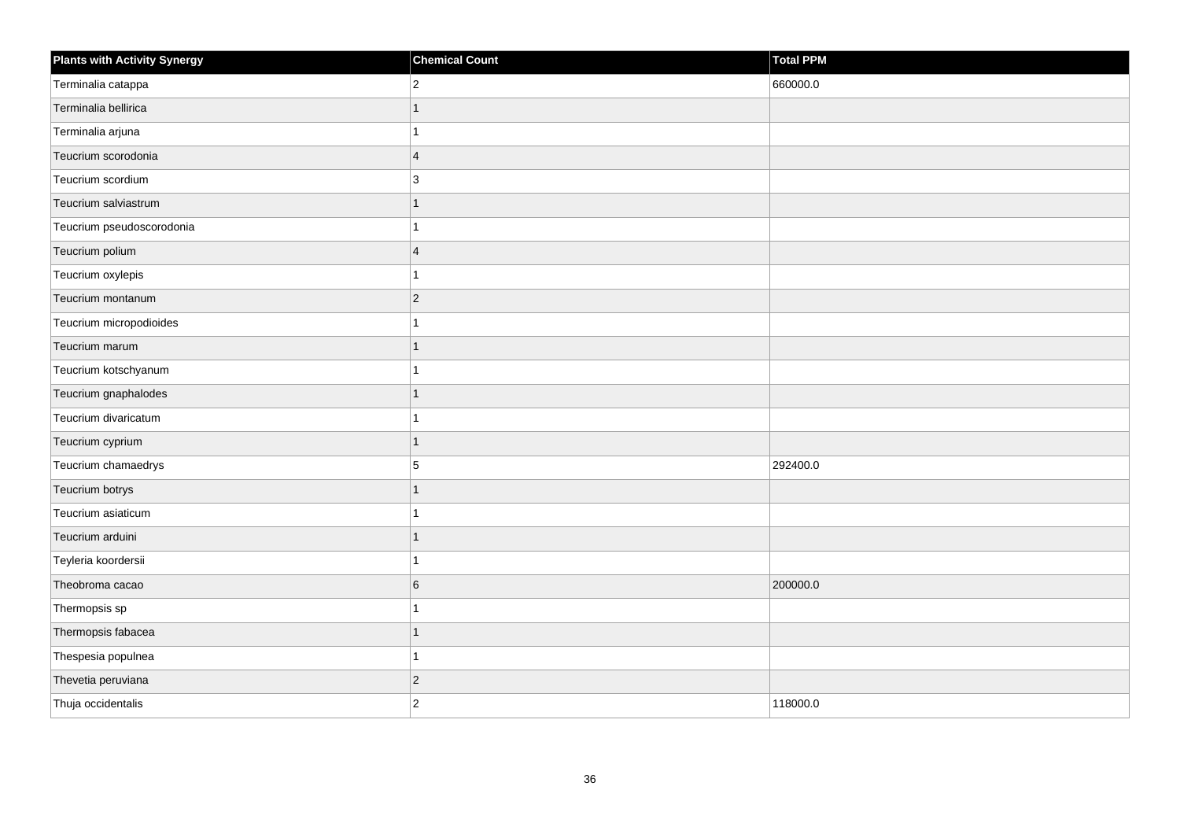| <b>Plants with Activity Synergy</b> | <b>Chemical Count</b>   | Total PPM |
|-------------------------------------|-------------------------|-----------|
| Terminalia catappa                  | $\overline{2}$          | 660000.0  |
| Terminalia bellirica                |                         |           |
| Terminalia arjuna                   |                         |           |
| Teucrium scorodonia                 | $\overline{4}$          |           |
| Teucrium scordium                   | 3                       |           |
| Teucrium salviastrum                |                         |           |
| Teucrium pseudoscorodonia           |                         |           |
| Teucrium polium                     | $\overline{\mathbf{A}}$ |           |
| Teucrium oxylepis                   |                         |           |
| Teucrium montanum                   | $\overline{2}$          |           |
| Teucrium micropodioides             |                         |           |
| Teucrium marum                      |                         |           |
| Teucrium kotschyanum                |                         |           |
| Teucrium gnaphalodes                | 1                       |           |
| Teucrium divaricatum                |                         |           |
| Teucrium cyprium                    | 1                       |           |
| Teucrium chamaedrys                 | 5                       | 292400.0  |
| Teucrium botrys                     |                         |           |
| Teucrium asiaticum                  |                         |           |
| Teucrium arduini                    |                         |           |
| Teyleria koordersii                 |                         |           |
| Theobroma cacao                     | 6                       | 200000.0  |
| Thermopsis sp                       |                         |           |
| Thermopsis fabacea                  |                         |           |
| Thespesia populnea                  |                         |           |
| Thevetia peruviana                  | $\overline{2}$          |           |
| Thuja occidentalis                  | $\overline{2}$          | 118000.0  |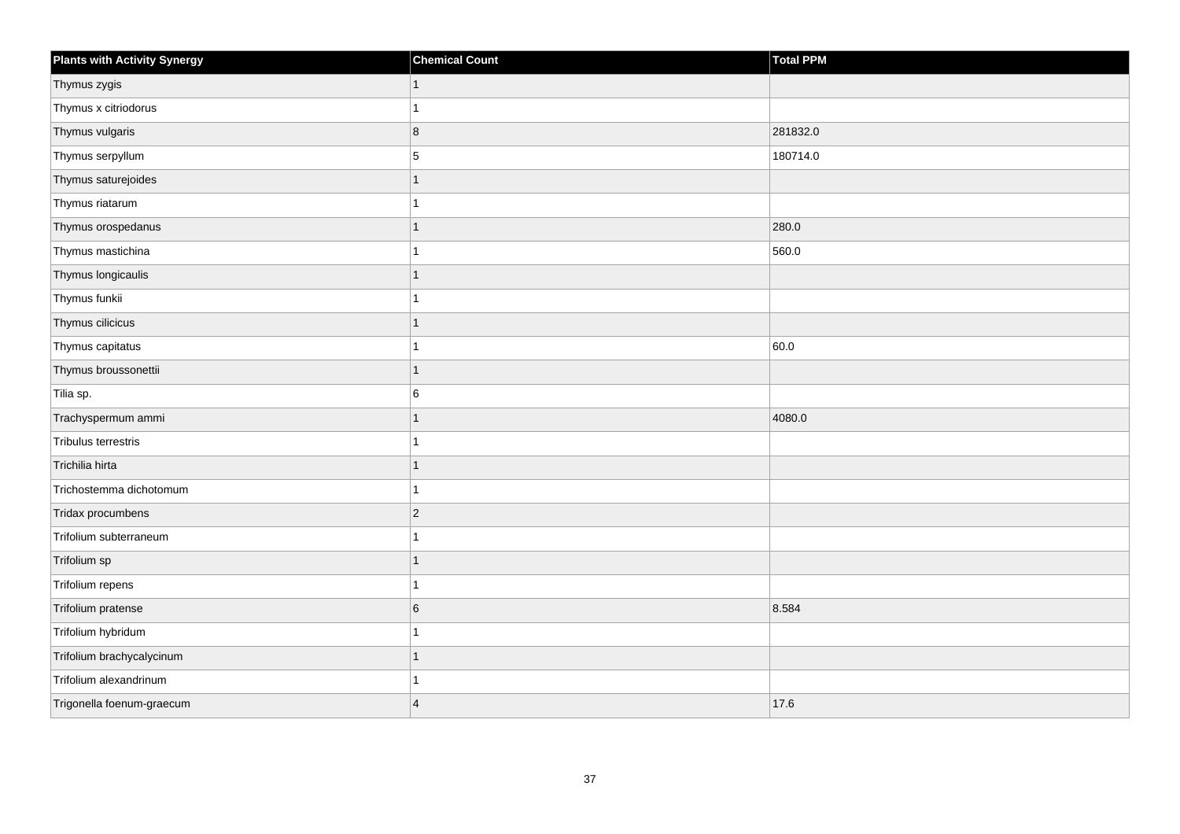| <b>Plants with Activity Synergy</b> | <b>Chemical Count</b>   | <b>Total PPM</b> |
|-------------------------------------|-------------------------|------------------|
| Thymus zygis                        | 1                       |                  |
| Thymus x citriodorus                |                         |                  |
| Thymus vulgaris                     | 8                       | 281832.0         |
| Thymus serpyllum                    | 5                       | 180714.0         |
| Thymus saturejoides                 |                         |                  |
| Thymus riatarum                     |                         |                  |
| Thymus orospedanus                  | 1                       | 280.0            |
| Thymus mastichina                   |                         | 560.0            |
| Thymus longicaulis                  |                         |                  |
| Thymus funkii                       |                         |                  |
| Thymus cilicicus                    |                         |                  |
| Thymus capitatus                    |                         | 60.0             |
| Thymus broussonettii                | 1                       |                  |
| Tilia sp.                           | 6                       |                  |
| Trachyspermum ammi                  |                         | 4080.0           |
| Tribulus terrestris                 |                         |                  |
| Trichilia hirta                     |                         |                  |
| Trichostemma dichotomum             |                         |                  |
| Tridax procumbens                   | $\overline{2}$          |                  |
| Trifolium subterraneum              |                         |                  |
| Trifolium sp                        |                         |                  |
| Trifolium repens                    |                         |                  |
| Trifolium pratense                  | 6                       | 8.584            |
| Trifolium hybridum                  |                         |                  |
| Trifolium brachycalycinum           | 1                       |                  |
| Trifolium alexandrinum              |                         |                  |
| Trigonella foenum-graecum           | $\overline{\mathbf{A}}$ | 17.6             |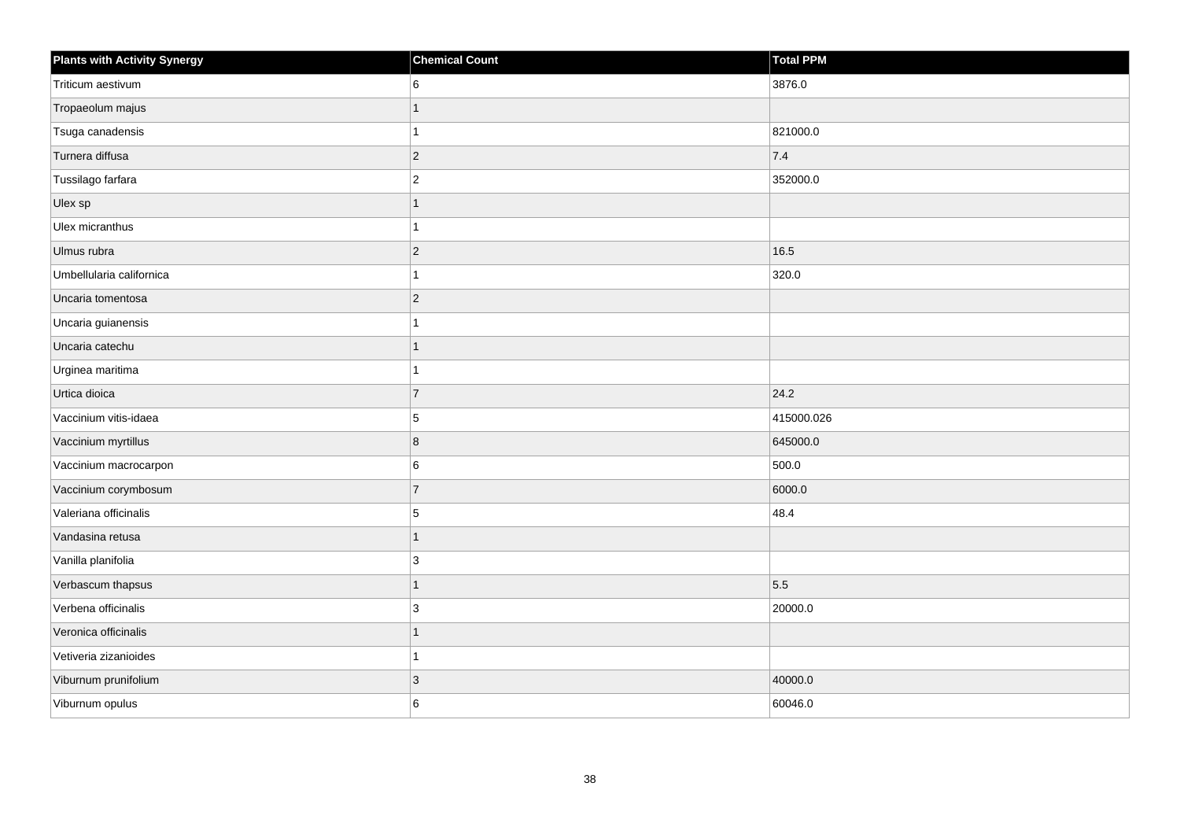| <b>Plants with Activity Synergy</b> | <b>Chemical Count</b> | <b>Total PPM</b> |
|-------------------------------------|-----------------------|------------------|
| Triticum aestivum                   | 6                     | 3876.0           |
| Tropaeolum majus                    |                       |                  |
| Tsuga canadensis                    |                       | 821000.0         |
| Turnera diffusa                     | $\overline{2}$        | 7.4              |
| Tussilago farfara                   | $\overline{2}$        | 352000.0         |
| Ulex sp                             | 1                     |                  |
| Ulex micranthus                     |                       |                  |
| Ulmus rubra                         | $\overline{c}$        | 16.5             |
| Umbellularia californica            |                       | 320.0            |
| Uncaria tomentosa                   | $\overline{2}$        |                  |
| Uncaria guianensis                  |                       |                  |
| Uncaria catechu                     |                       |                  |
| Urginea maritima                    |                       |                  |
| Urtica dioica                       | $\overline{7}$        | 24.2             |
| Vaccinium vitis-idaea               | 5                     | 415000.026       |
| Vaccinium myrtillus                 | 8                     | 645000.0         |
| Vaccinium macrocarpon               | 6                     | 500.0            |
| Vaccinium corymbosum                | $\overline{7}$        | 6000.0           |
| Valeriana officinalis               | 5                     | 48.4             |
| Vandasina retusa                    |                       |                  |
| Vanilla planifolia                  | 3                     |                  |
| Verbascum thapsus                   | $\overline{1}$        | 5.5              |
| Verbena officinalis                 | 3                     | 20000.0          |
| Veronica officinalis                |                       |                  |
| Vetiveria zizanioides               | 1                     |                  |
| Viburnum prunifolium                | 3                     | 40000.0          |
| Viburnum opulus                     | 6                     | 60046.0          |